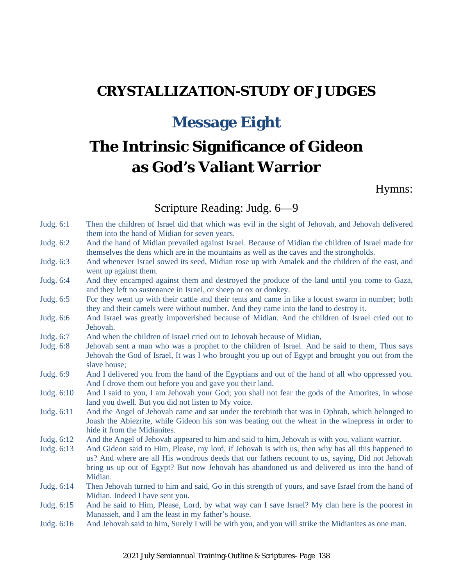## **CRYSTALLIZATION-STUDY OF JUDGES**

## **Message Eight**

# **The Intrinsic Significance of Gideon as God's Valiant Warrior**

#### Hymns:

#### Scripture Reading: Judg. 6—9

- Judg. 6:1 Then the children of Israel did that which was evil in the sight of Jehovah, and Jehovah delivered them into the hand of Midian for seven years.
- Judg. 6:2 And the hand of Midian prevailed against Israel. Because of Midian the children of Israel made for themselves the dens which are in the mountains as well as the caves and the strongholds.
- Judg. 6:3 And whenever Israel sowed its seed, Midian rose up with Amalek and the children of the east, and went up against them.
- Judg. 6:4 And they encamped against them and destroyed the produce of the land until you come to Gaza, and they left no sustenance in Israel, or sheep or ox or donkey.
- Judg. 6:5 For they went up with their cattle and their tents and came in like a locust swarm in number; both they and their camels were without number. And they came into the land to destroy it.
- Judg. 6:6 And Israel was greatly impoverished because of Midian. And the children of Israel cried out to Jehovah.
- Judg. 6:7 And when the children of Israel cried out to Jehovah because of Midian,
- Judg. 6:8 Jehovah sent a man who was a prophet to the children of Israel. And he said to them, Thus says Jehovah the God of Israel, It was I who brought you up out of Egypt and brought you out from the slave house;
- Judg. 6:9 And I delivered you from the hand of the Egyptians and out of the hand of all who oppressed you. And I drove them out before you and gave you their land.
- Judg. 6:10 And I said to you, I am Jehovah your God; you shall not fear the gods of the Amorites, in whose land you dwell. But you did not listen to My voice.
- Judg. 6:11 And the Angel of Jehovah came and sat under the terebinth that was in Ophrah, which belonged to Joash the Abiezrite, while Gideon his son was beating out the wheat in the winepress in order to hide it from the Midianites.
- Judg. 6:12 And the Angel of Jehovah appeared to him and said to him, Jehovah is with you, valiant warrior.
- Judg. 6:13 And Gideon said to Him, Please, my lord, if Jehovah is with us, then why has all this happened to us? And where are all His wondrous deeds that our fathers recount to us, saying, Did not Jehovah bring us up out of Egypt? But now Jehovah has abandoned us and delivered us into the hand of Midian.
- Judg. 6:14 Then Jehovah turned to him and said, Go in this strength of yours, and save Israel from the hand of Midian. Indeed I have sent you.
- Judg. 6:15 And he said to Him, Please, Lord, by what way can I save Israel? My clan here is the poorest in Manasseh, and I am the least in my father's house.
- Judg. 6:16 And Jehovah said to him, Surely I will be with you, and you will strike the Midianites as one man.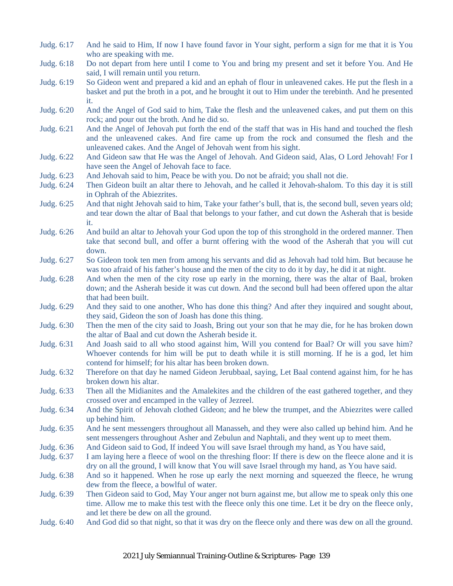- Judg. 6:17 And he said to Him, If now I have found favor in Your sight, perform a sign for me that it is You who are speaking with me.
- Judg. 6:18 Do not depart from here until I come to You and bring my present and set it before You. And He said, I will remain until you return.
- Judg. 6:19 So Gideon went and prepared a kid and an ephah of flour in unleavened cakes. He put the flesh in a basket and put the broth in a pot, and he brought it out to Him under the terebinth. And he presented it.
- Judg. 6:20 And the Angel of God said to him, Take the flesh and the unleavened cakes, and put them on this rock; and pour out the broth. And he did so.
- Judg. 6:21 And the Angel of Jehovah put forth the end of the staff that was in His hand and touched the flesh and the unleavened cakes. And fire came up from the rock and consumed the flesh and the unleavened cakes. And the Angel of Jehovah went from his sight.
- Judg. 6:22 And Gideon saw that He was the Angel of Jehovah. And Gideon said, Alas, O Lord Jehovah! For I have seen the Angel of Jehovah face to face.
- Judg. 6:23 And Jehovah said to him, Peace be with you. Do not be afraid; you shall not die.
- Judg. 6:24 Then Gideon built an altar there to Jehovah, and he called it Jehovah-shalom. To this day it is still in Ophrah of the Abiezrites.
- Judg. 6:25 And that night Jehovah said to him, Take your father's bull, that is, the second bull, seven years old; and tear down the altar of Baal that belongs to your father, and cut down the Asherah that is beside it.
- Judg. 6:26 And build an altar to Jehovah your God upon the top of this stronghold in the ordered manner. Then take that second bull, and offer a burnt offering with the wood of the Asherah that you will cut down.
- Judg. 6:27 So Gideon took ten men from among his servants and did as Jehovah had told him. But because he was too afraid of his father's house and the men of the city to do it by day, he did it at night.
- Judg. 6:28 And when the men of the city rose up early in the morning, there was the altar of Baal, broken down; and the Asherah beside it was cut down. And the second bull had been offered upon the altar that had been built.
- Judg. 6:29 And they said to one another, Who has done this thing? And after they inquired and sought about, they said, Gideon the son of Joash has done this thing.
- Judg. 6:30 Then the men of the city said to Joash, Bring out your son that he may die, for he has broken down the altar of Baal and cut down the Asherah beside it.
- Judg. 6:31 And Joash said to all who stood against him, Will you contend for Baal? Or will you save him? Whoever contends for him will be put to death while it is still morning. If he is a god, let him contend for himself; for his altar has been broken down.
- Judg. 6:32 Therefore on that day he named Gideon Jerubbaal, saying, Let Baal contend against him, for he has broken down his altar.
- Judg. 6:33 Then all the Midianites and the Amalekites and the children of the east gathered together, and they crossed over and encamped in the valley of Jezreel.
- Judg. 6:34 And the Spirit of Jehovah clothed Gideon; and he blew the trumpet, and the Abiezrites were called up behind him.
- Judg. 6:35 And he sent messengers throughout all Manasseh, and they were also called up behind him. And he sent messengers throughout Asher and Zebulun and Naphtali, and they went up to meet them.
- Judg. 6:36 And Gideon said to God, If indeed You will save Israel through my hand, as You have said,
- Judg. 6:37 I am laying here a fleece of wool on the threshing floor: If there is dew on the fleece alone and it is dry on all the ground, I will know that You will save Israel through my hand, as You have said.
- Judg. 6:38 And so it happened. When he rose up early the next morning and squeezed the fleece, he wrung dew from the fleece, a bowlful of water.
- Judg. 6:39 Then Gideon said to God, May Your anger not burn against me, but allow me to speak only this one time. Allow me to make this test with the fleece only this one time. Let it be dry on the fleece only, and let there be dew on all the ground.
- Judg. 6:40 And God did so that night, so that it was dry on the fleece only and there was dew on all the ground.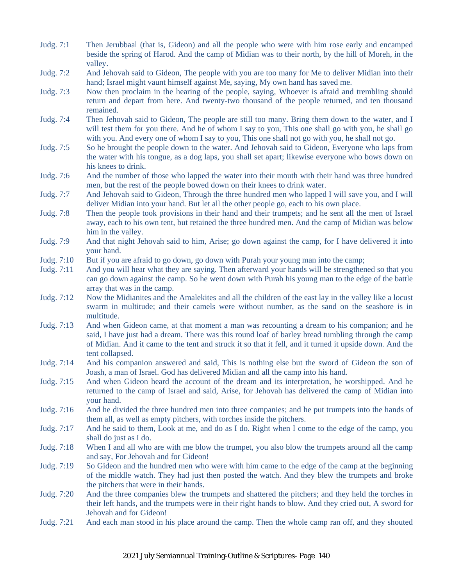- Judg. 7:1 Then Jerubbaal (that is, Gideon) and all the people who were with him rose early and encamped beside the spring of Harod. And the camp of Midian was to their north, by the hill of Moreh, in the valley.
- Judg. 7:2 And Jehovah said to Gideon, The people with you are too many for Me to deliver Midian into their hand; Israel might vaunt himself against Me, saying, My own hand has saved me.
- Judg. 7:3 Now then proclaim in the hearing of the people, saying, Whoever is afraid and trembling should return and depart from here. And twenty-two thousand of the people returned, and ten thousand remained.
- Judg. 7:4 Then Jehovah said to Gideon, The people are still too many. Bring them down to the water, and I will test them for you there. And he of whom I say to you, This one shall go with you, he shall go with you. And every one of whom I say to you, This one shall not go with you, he shall not go.
- Judg. 7:5 So he brought the people down to the water. And Jehovah said to Gideon, Everyone who laps from the water with his tongue, as a dog laps, you shall set apart; likewise everyone who bows down on his knees to drink.
- Judg. 7:6 And the number of those who lapped the water into their mouth with their hand was three hundred men, but the rest of the people bowed down on their knees to drink water.
- Judg. 7:7 And Jehovah said to Gideon, Through the three hundred men who lapped I will save you, and I will deliver Midian into your hand. But let all the other people go, each to his own place.
- Judg. 7:8 Then the people took provisions in their hand and their trumpets; and he sent all the men of Israel away, each to his own tent, but retained the three hundred men. And the camp of Midian was below him in the valley.
- Judg. 7:9 And that night Jehovah said to him, Arise; go down against the camp, for I have delivered it into your hand.
- Judg. 7:10 But if you are afraid to go down, go down with Purah your young man into the camp;
- Judg. 7:11 And you will hear what they are saying. Then afterward your hands will be strengthened so that you can go down against the camp. So he went down with Purah his young man to the edge of the battle array that was in the camp.
- Judg. 7:12 Now the Midianites and the Amalekites and all the children of the east lay in the valley like a locust swarm in multitude; and their camels were without number, as the sand on the seashore is in multitude.
- Judg. 7:13 And when Gideon came, at that moment a man was recounting a dream to his companion; and he said, I have just had a dream. There was this round loaf of barley bread tumbling through the camp of Midian. And it came to the tent and struck it so that it fell, and it turned it upside down. And the tent collapsed.
- Judg. 7:14 And his companion answered and said, This is nothing else but the sword of Gideon the son of Joash, a man of Israel. God has delivered Midian and all the camp into his hand.
- Judg. 7:15 And when Gideon heard the account of the dream and its interpretation, he worshipped. And he returned to the camp of Israel and said, Arise, for Jehovah has delivered the camp of Midian into your hand.
- Judg. 7:16 And he divided the three hundred men into three companies; and he put trumpets into the hands of them all, as well as empty pitchers, with torches inside the pitchers.
- Judg. 7:17 And he said to them, Look at me, and do as I do. Right when I come to the edge of the camp, you shall do just as I do.
- Judg. 7:18 When I and all who are with me blow the trumpet, you also blow the trumpets around all the camp and say, For Jehovah and for Gideon!
- Judg. 7:19 So Gideon and the hundred men who were with him came to the edge of the camp at the beginning of the middle watch. They had just then posted the watch. And they blew the trumpets and broke the pitchers that were in their hands.
- Judg. 7:20 And the three companies blew the trumpets and shattered the pitchers; and they held the torches in their left hands, and the trumpets were in their right hands to blow. And they cried out, A sword for Jehovah and for Gideon!
- Judg. 7:21 And each man stood in his place around the camp. Then the whole camp ran off, and they shouted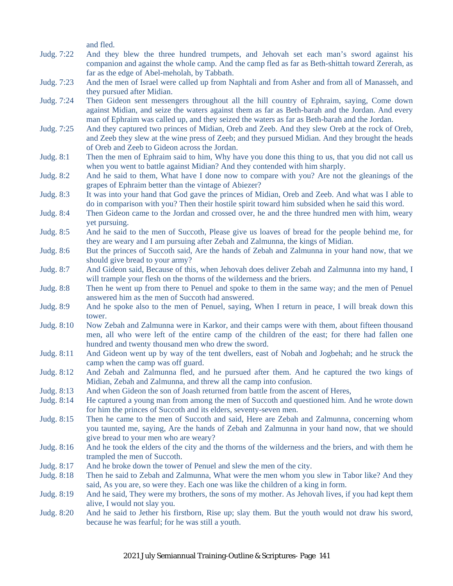and fled.

- Judg. 7:22 And they blew the three hundred trumpets, and Jehovah set each man's sword against his companion and against the whole camp. And the camp fled as far as Beth-shittah toward Zererah, as far as the edge of Abel-meholah, by Tabbath.
- Judg. 7:23 And the men of Israel were called up from Naphtali and from Asher and from all of Manasseh, and they pursued after Midian.
- Judg. 7:24 Then Gideon sent messengers throughout all the hill country of Ephraim, saying, Come down against Midian, and seize the waters against them as far as Beth-barah and the Jordan. And every man of Ephraim was called up, and they seized the waters as far as Beth-barah and the Jordan.
- Judg. 7:25 And they captured two princes of Midian, Oreb and Zeeb. And they slew Oreb at the rock of Oreb, and Zeeb they slew at the wine press of Zeeb; and they pursued Midian. And they brought the heads of Oreb and Zeeb to Gideon across the Jordan.
- Judg. 8:1 Then the men of Ephraim said to him, Why have you done this thing to us, that you did not call us when you went to battle against Midian? And they contended with him sharply.
- Judg. 8:2 And he said to them, What have I done now to compare with you? Are not the gleanings of the grapes of Ephraim better than the vintage of Abiezer?
- Judg. 8:3 It was into your hand that God gave the princes of Midian, Oreb and Zeeb. And what was I able to do in comparison with you? Then their hostile spirit toward him subsided when he said this word.
- Judg. 8:4 Then Gideon came to the Jordan and crossed over, he and the three hundred men with him, weary yet pursuing.
- Judg. 8:5 And he said to the men of Succoth, Please give us loaves of bread for the people behind me, for they are weary and I am pursuing after Zebah and Zalmunna, the kings of Midian.
- Judg. 8:6 But the princes of Succoth said, Are the hands of Zebah and Zalmunna in your hand now, that we should give bread to your army?
- Judg. 8:7 And Gideon said, Because of this, when Jehovah does deliver Zebah and Zalmunna into my hand, I will trample your flesh on the thorns of the wilderness and the briers.
- Judg. 8:8 Then he went up from there to Penuel and spoke to them in the same way; and the men of Penuel answered him as the men of Succoth had answered.
- Judg. 8:9 And he spoke also to the men of Penuel, saying, When I return in peace, I will break down this tower.
- Judg. 8:10 Now Zebah and Zalmunna were in Karkor, and their camps were with them, about fifteen thousand men, all who were left of the entire camp of the children of the east; for there had fallen one hundred and twenty thousand men who drew the sword.
- Judg. 8:11 And Gideon went up by way of the tent dwellers, east of Nobah and Jogbehah; and he struck the camp when the camp was off guard.
- Judg. 8:12 And Zebah and Zalmunna fled, and he pursued after them. And he captured the two kings of Midian, Zebah and Zalmunna, and threw all the camp into confusion.
- Judg. 8:13 And when Gideon the son of Joash returned from battle from the ascent of Heres,
- Judg. 8:14 He captured a young man from among the men of Succoth and questioned him. And he wrote down for him the princes of Succoth and its elders, seventy-seven men.
- Judg. 8:15 Then he came to the men of Succoth and said, Here are Zebah and Zalmunna, concerning whom you taunted me, saying, Are the hands of Zebah and Zalmunna in your hand now, that we should give bread to your men who are weary?
- Judg. 8:16 And he took the elders of the city and the thorns of the wilderness and the briers, and with them he trampled the men of Succoth.
- Judg. 8:17 And he broke down the tower of Penuel and slew the men of the city.
- Judg. 8:18 Then he said to Zebah and Zalmunna, What were the men whom you slew in Tabor like? And they said, As you are, so were they. Each one was like the children of a king in form.
- Judg. 8:19 And he said, They were my brothers, the sons of my mother. As Jehovah lives, if you had kept them alive, I would not slay you.
- Judg. 8:20 And he said to Jether his firstborn, Rise up; slay them. But the youth would not draw his sword, because he was fearful; for he was still a youth.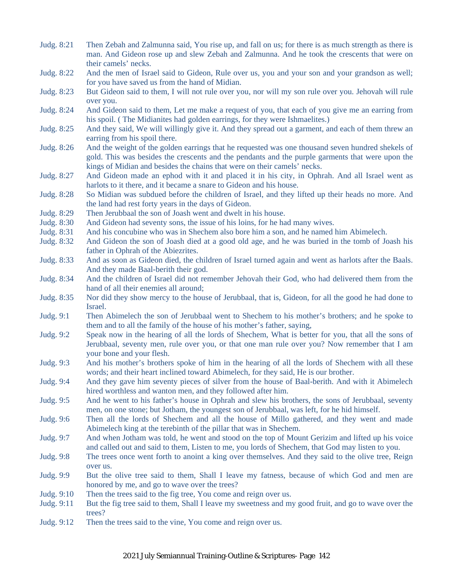- Judg. 8:21 Then Zebah and Zalmunna said, You rise up, and fall on us; for there is as much strength as there is man. And Gideon rose up and slew Zebah and Zalmunna. And he took the crescents that were on their camels' necks. Judg. 8:22 And the men of Israel said to Gideon, Rule over us, you and your son and your grandson as well; for you have saved us from the hand of Midian. Judg. 8:23 But Gideon said to them, I will not rule over you, nor will my son rule over you. Jehovah will rule over you.
- Judg. 8:24 And Gideon said to them, Let me make a request of you, that each of you give me an earring from his spoil. ( The Midianites had golden earrings, for they were Ishmaelites.)
- Judg. 8:25 And they said, We will willingly give it. And they spread out a garment, and each of them threw an earring from his spoil there.
- Judg. 8:26 And the weight of the golden earrings that he requested was one thousand seven hundred shekels of gold. This was besides the crescents and the pendants and the purple garments that were upon the kings of Midian and besides the chains that were on their camels' necks.
- Judg. 8:27 And Gideon made an ephod with it and placed it in his city, in Ophrah. And all Israel went as harlots to it there, and it became a snare to Gideon and his house.
- Judg. 8:28 So Midian was subdued before the children of Israel, and they lifted up their heads no more. And the land had rest forty years in the days of Gideon.
- Judg. 8:29 Then Jerubbaal the son of Joash went and dwelt in his house.
- Judg. 8:30 And Gideon had seventy sons, the issue of his loins, for he had many wives.
- Judg. 8:31 And his concubine who was in Shechem also bore him a son, and he named him Abimelech.
- Judg. 8:32 And Gideon the son of Joash died at a good old age, and he was buried in the tomb of Joash his father in Ophrah of the Abiezrites.
- Judg. 8:33 And as soon as Gideon died, the children of Israel turned again and went as harlots after the Baals. And they made Baal-berith their god.
- Judg. 8:34 And the children of Israel did not remember Jehovah their God, who had delivered them from the hand of all their enemies all around;
- Judg. 8:35 Nor did they show mercy to the house of Jerubbaal, that is, Gideon, for all the good he had done to Israel.
- Judg. 9:1 Then Abimelech the son of Jerubbaal went to Shechem to his mother's brothers; and he spoke to them and to all the family of the house of his mother's father, saying,
- Judg. 9:2 Speak now in the hearing of all the lords of Shechem, What is better for you, that all the sons of Jerubbaal, seventy men, rule over you, or that one man rule over you? Now remember that I am your bone and your flesh.
- Judg. 9:3 And his mother's brothers spoke of him in the hearing of all the lords of Shechem with all these words; and their heart inclined toward Abimelech, for they said, He is our brother.
- Judg. 9:4 And they gave him seventy pieces of silver from the house of Baal-berith. And with it Abimelech hired worthless and wanton men, and they followed after him.
- Judg. 9:5 And he went to his father's house in Ophrah and slew his brothers, the sons of Jerubbaal, seventy men, on one stone; but Jotham, the youngest son of Jerubbaal, was left, for he hid himself.
- Judg. 9:6 Then all the lords of Shechem and all the house of Millo gathered, and they went and made Abimelech king at the terebinth of the pillar that was in Shechem.
- Judg. 9:7 And when Jotham was told, he went and stood on the top of Mount Gerizim and lifted up his voice and called out and said to them, Listen to me, you lords of Shechem, that God may listen to you.
- Judg. 9:8 The trees once went forth to anoint a king over themselves. And they said to the olive tree, Reign over us.
- Judg. 9:9 But the olive tree said to them, Shall I leave my fatness, because of which God and men are honored by me, and go to wave over the trees?
- Judg. 9:10 Then the trees said to the fig tree, You come and reign over us.
- Judg. 9:11 But the fig tree said to them, Shall I leave my sweetness and my good fruit, and go to wave over the trees?
- Judg. 9:12 Then the trees said to the vine, You come and reign over us.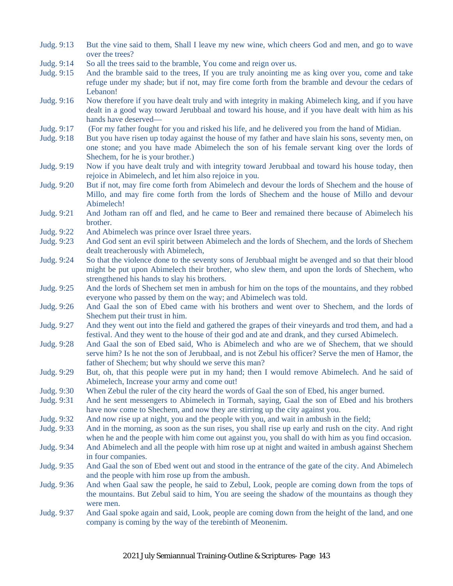- Judg. 9:13 But the vine said to them, Shall I leave my new wine, which cheers God and men, and go to wave over the trees?
- Judg. 9:14 So all the trees said to the bramble, You come and reign over us.
- Judg. 9:15 And the bramble said to the trees, If you are truly anointing me as king over you, come and take refuge under my shade; but if not, may fire come forth from the bramble and devour the cedars of Lebanon!
- Judg. 9:16 Now therefore if you have dealt truly and with integrity in making Abimelech king, and if you have dealt in a good way toward Jerubbaal and toward his house, and if you have dealt with him as his hands have deserved—
- Judg. 9:17 (For my father fought for you and risked his life, and he delivered you from the hand of Midian.
- Judg. 9:18 But you have risen up today against the house of my father and have slain his sons, seventy men, on one stone; and you have made Abimelech the son of his female servant king over the lords of Shechem, for he is your brother.)
- Judg. 9:19 Now if you have dealt truly and with integrity toward Jerubbaal and toward his house today, then rejoice in Abimelech, and let him also rejoice in you.
- Judg. 9:20 But if not, may fire come forth from Abimelech and devour the lords of Shechem and the house of Millo, and may fire come forth from the lords of Shechem and the house of Millo and devour Abimelech!
- Judg. 9:21 And Jotham ran off and fled, and he came to Beer and remained there because of Abimelech his brother.
- Judg. 9:22 And Abimelech was prince over Israel three years.
- Judg. 9:23 And God sent an evil spirit between Abimelech and the lords of Shechem, and the lords of Shechem dealt treacherously with Abimelech,
- Judg. 9:24 So that the violence done to the seventy sons of Jerubbaal might be avenged and so that their blood might be put upon Abimelech their brother, who slew them, and upon the lords of Shechem, who strengthened his hands to slay his brothers.
- Judg. 9:25 And the lords of Shechem set men in ambush for him on the tops of the mountains, and they robbed everyone who passed by them on the way; and Abimelech was told.
- Judg. 9:26 And Gaal the son of Ebed came with his brothers and went over to Shechem, and the lords of Shechem put their trust in him.
- Judg. 9:27 And they went out into the field and gathered the grapes of their vineyards and trod them, and had a festival. And they went to the house of their god and ate and drank, and they cursed Abimelech.
- Judg. 9:28 And Gaal the son of Ebed said, Who is Abimelech and who are we of Shechem, that we should serve him? Is he not the son of Jerubbaal, and is not Zebul his officer? Serve the men of Hamor, the father of Shechem; but why should we serve this man?
- Judg. 9:29 But, oh, that this people were put in my hand; then I would remove Abimelech. And he said of Abimelech, Increase your army and come out!
- Judg. 9:30 When Zebul the ruler of the city heard the words of Gaal the son of Ebed, his anger burned.
- Judg. 9:31 And he sent messengers to Abimelech in Tormah, saying, Gaal the son of Ebed and his brothers have now come to Shechem, and now they are stirring up the city against you.
- Judg. 9:32 And now rise up at night, you and the people with you, and wait in ambush in the field;
- Judg. 9:33 And in the morning, as soon as the sun rises, you shall rise up early and rush on the city. And right when he and the people with him come out against you, you shall do with him as you find occasion.
- Judg. 9:34 And Abimelech and all the people with him rose up at night and waited in ambush against Shechem in four companies.
- Judg. 9:35 And Gaal the son of Ebed went out and stood in the entrance of the gate of the city. And Abimelech and the people with him rose up from the ambush.
- Judg. 9:36 And when Gaal saw the people, he said to Zebul, Look, people are coming down from the tops of the mountains. But Zebul said to him, You are seeing the shadow of the mountains as though they were men.
- Judg. 9:37 And Gaal spoke again and said, Look, people are coming down from the height of the land, and one company is coming by the way of the terebinth of Meonenim.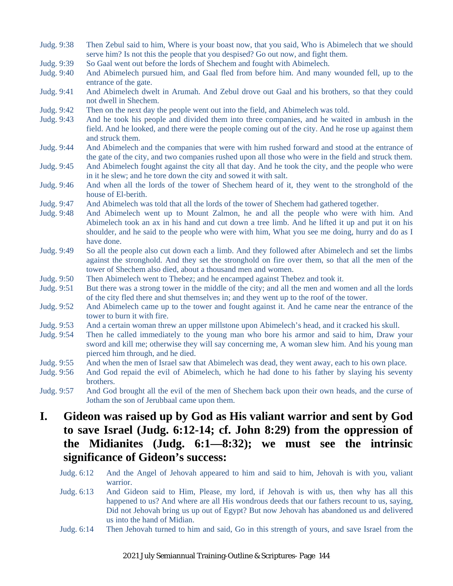- Judg. 9:38 Then Zebul said to him, Where is your boast now, that you said, Who is Abimelech that we should serve him? Is not this the people that you despised? Go out now, and fight them.
- Judg. 9:39 So Gaal went out before the lords of Shechem and fought with Abimelech.
- Judg. 9:40 And Abimelech pursued him, and Gaal fled from before him. And many wounded fell, up to the entrance of the gate.
- Judg. 9:41 And Abimelech dwelt in Arumah. And Zebul drove out Gaal and his brothers, so that they could not dwell in Shechem.
- Judg. 9:42 Then on the next day the people went out into the field, and Abimelech was told.
- Judg. 9:43 And he took his people and divided them into three companies, and he waited in ambush in the field. And he looked, and there were the people coming out of the city. And he rose up against them and struck them.
- Judg. 9:44 And Abimelech and the companies that were with him rushed forward and stood at the entrance of the gate of the city, and two companies rushed upon all those who were in the field and struck them.
- Judg. 9:45 And Abimelech fought against the city all that day. And he took the city, and the people who were in it he slew; and he tore down the city and sowed it with salt.
- Judg. 9:46 And when all the lords of the tower of Shechem heard of it, they went to the stronghold of the house of El-berith.
- Judg. 9:47 And Abimelech was told that all the lords of the tower of Shechem had gathered together.
- Judg. 9:48 And Abimelech went up to Mount Zalmon, he and all the people who were with him. And Abimelech took an ax in his hand and cut down a tree limb. And he lifted it up and put it on his shoulder, and he said to the people who were with him, What you see me doing, hurry and do as I have done.
- Judg. 9:49 So all the people also cut down each a limb. And they followed after Abimelech and set the limbs against the stronghold. And they set the stronghold on fire over them, so that all the men of the tower of Shechem also died, about a thousand men and women.
- Judg. 9:50 Then Abimelech went to Thebez; and he encamped against Thebez and took it.
- Judg. 9:51 But there was a strong tower in the middle of the city; and all the men and women and all the lords of the city fled there and shut themselves in; and they went up to the roof of the tower.
- Judg. 9:52 And Abimelech came up to the tower and fought against it. And he came near the entrance of the tower to burn it with fire.
- Judg. 9:53 And a certain woman threw an upper millstone upon Abimelech's head, and it cracked his skull.
- Judg. 9:54 Then he called immediately to the young man who bore his armor and said to him, Draw your sword and kill me; otherwise they will say concerning me, A woman slew him. And his young man pierced him through, and he died.
- Judg. 9:55 And when the men of Israel saw that Abimelech was dead, they went away, each to his own place.
- Judg. 9:56 And God repaid the evil of Abimelech, which he had done to his father by slaying his seventy brothers.
- Judg. 9:57 And God brought all the evil of the men of Shechem back upon their own heads, and the curse of Jotham the son of Jerubbaal came upon them.

### **I. Gideon was raised up by God as His valiant warrior and sent by God to save Israel (Judg. 6:12-14; cf. John 8:29) from the oppression of the Midianites (Judg. 6:1—8:32); we must see the intrinsic significance of Gideon's success:**

- Judg. 6:12 And the Angel of Jehovah appeared to him and said to him, Jehovah is with you, valiant warrior.
- Judg. 6:13 And Gideon said to Him, Please, my lord, if Jehovah is with us, then why has all this happened to us? And where are all His wondrous deeds that our fathers recount to us, saying, Did not Jehovah bring us up out of Egypt? But now Jehovah has abandoned us and delivered us into the hand of Midian.
- Judg. 6:14 Then Jehovah turned to him and said, Go in this strength of yours, and save Israel from the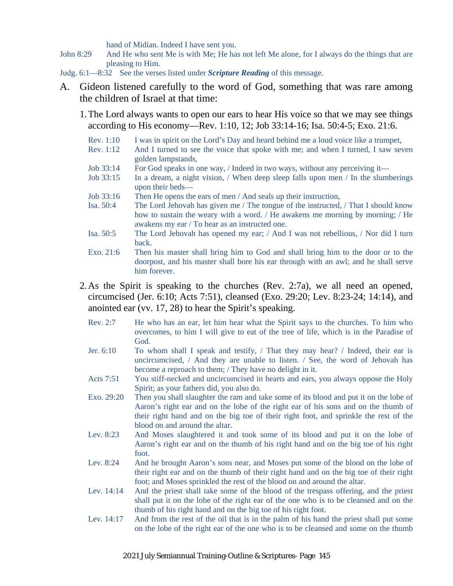hand of Midian. Indeed I have sent you.

- John 8:29 And He who sent Me is with Me; He has not left Me alone, for I always do the things that are pleasing to Him.
- Judg. 6:1—8:32 See the verses listed under *Scripture Reading* of this message.
- A. Gideon listened carefully to the word of God, something that was rare among the children of Israel at that time:
	- 1.The Lord always wants to open our ears to hear His voice so that we may see things according to His economy—Rev. 1:10, 12; Job 33:14-16; Isa. 50:4-5; Exo. 21:6.
		- Rev. 1:10 I was in spirit on the Lord's Day and heard behind me a loud voice like a trumpet,
		- Rev. 1:12 And I turned to see the voice that spoke with me; and when I turned, I saw seven golden lampstands,
		- Job 33:14 For God speaks in one way, / Indeed in two ways, without any perceiving it—
		- Job 33:15 In a dream, a night vision, / When deep sleep falls upon men / In the slumberings upon their beds—
		- Job 33:16 Then He opens the ears of men / And seals up their instruction,
		- Isa. 50:4 The Lord Jehovah has given me / The tongue of the instructed, / That I should know how to sustain the weary with a word.  $/$  He awakens me morning by morning;  $/$  He awakens my ear / To hear as an instructed one.
		- Isa. 50:5 The Lord Jehovah has opened my ear; / And I was not rebellious, / Nor did I turn back.
		- Exo. 21:6 Then his master shall bring him to God and shall bring him to the door or to the doorpost, and his master shall bore his ear through with an awl; and he shall serve him forever.
	- 2.As the Spirit is speaking to the churches (Rev. 2:7a), we all need an opened, circumcised (Jer. 6:10; Acts 7:51), cleansed (Exo. 29:20; Lev. 8:23-24; 14:14), and anointed ear (vv. 17, 28) to hear the Spirit's speaking.
		- Rev. 2:7 He who has an ear, let him hear what the Spirit says to the churches. To him who overcomes, to him I will give to eat of the tree of life, which is in the Paradise of God.
		- Jer. 6:10 To whom shall I speak and testify,  $/$  That they may hear?  $/$  Indeed, their ear is uncircumcised, / And they are unable to listen. / See, the word of Jehovah has become a reproach to them; / They have no delight in it.
		- Acts 7:51 You stiff-necked and uncircumcised in hearts and ears, you always oppose the Holy Spirit; as your fathers did, you also do.
		- Exo. 29:20 Then you shall slaughter the ram and take some of its blood and put it on the lobe of Aaron's right ear and on the lobe of the right ear of his sons and on the thumb of their right hand and on the big toe of their right foot, and sprinkle the rest of the blood on and around the altar.
		- Lev. 8:23 And Moses slaughtered it and took some of its blood and put it on the lobe of Aaron's right ear and on the thumb of his right hand and on the big toe of his right foot.
		- Lev. 8:24 And he brought Aaron's sons near, and Moses put some of the blood on the lobe of their right ear and on the thumb of their right hand and on the big toe of their right foot; and Moses sprinkled the rest of the blood on and around the altar.
		- Lev. 14:14 And the priest shall take some of the blood of the trespass offering, and the priest shall put it on the lobe of the right ear of the one who is to be cleansed and on the thumb of his right hand and on the big toe of his right foot.
		- Lev. 14:17 And from the rest of the oil that is in the palm of his hand the priest shall put some on the lobe of the right ear of the one who is to be cleansed and some on the thumb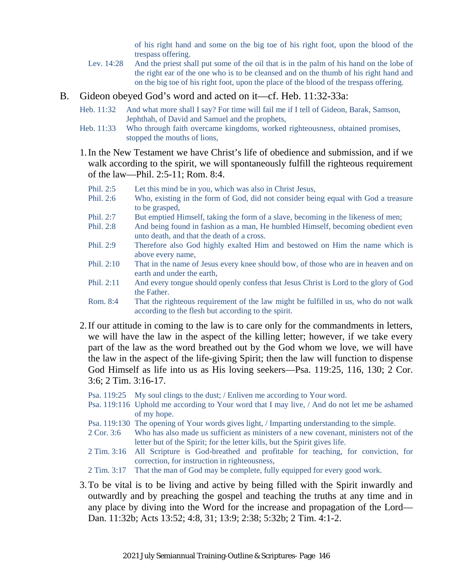of his right hand and some on the big toe of his right foot, upon the blood of the trespass offering.

Lev. 14:28 And the priest shall put some of the oil that is in the palm of his hand on the lobe of the right ear of the one who is to be cleansed and on the thumb of his right hand and on the big toe of his right foot, upon the place of the blood of the trespass offering.

#### B. Gideon obeyed God's word and acted on it—cf. Heb. 11:32-33a:

- Heb. 11:32 And what more shall I say? For time will fail me if I tell of Gideon, Barak, Samson, Jephthah, of David and Samuel and the prophets,
- Heb. 11:33 Who through faith overcame kingdoms, worked righteousness, obtained promises, stopped the mouths of lions,
- 1.In the New Testament we have Christ's life of obedience and submission, and if we walk according to the spirit, we will spontaneously fulfill the righteous requirement of the law—Phil. 2:5-11; Rom. 8:4.
	- Phil. 2:5 Let this mind be in you, which was also in Christ Jesus,
	- Phil. 2:6 Who, existing in the form of God, did not consider being equal with God a treasure to be grasped,
	- Phil. 2:7 But emptied Himself, taking the form of a slave, becoming in the likeness of men;
	- Phil. 2:8 And being found in fashion as a man, He humbled Himself, becoming obedient even unto death, and that the death of a cross.
	- Phil. 2:9 Therefore also God highly exalted Him and bestowed on Him the name which is above every name,
	- Phil. 2:10 That in the name of Jesus every knee should bow, of those who are in heaven and on earth and under the earth,
	- Phil. 2:11 And every tongue should openly confess that Jesus Christ is Lord to the glory of God the Father.
	- Rom. 8:4 That the righteous requirement of the law might be fulfilled in us, who do not walk according to the flesh but according to the spirit.
- 2.If our attitude in coming to the law is to care only for the commandments in letters, we will have the law in the aspect of the killing letter; however, if we take every part of the law as the word breathed out by the God whom we love, we will have the law in the aspect of the life-giving Spirit; then the law will function to dispense God Himself as life into us as His loving seekers—Psa. 119:25, 116, 130; 2 Cor. 3:6; 2 Tim. 3:16-17.
	- Psa. 119:25 My soul clings to the dust; / Enliven me according to Your word.
	- Psa. 119:116 Uphold me according to Your word that I may live, / And do not let me be ashamed of my hope.
	- Psa. 119:130 The opening of Your words gives light, / Imparting understanding to the simple.
	- 2 Cor. 3:6 Who has also made us sufficient as ministers of a new covenant, ministers not of the letter but of the Spirit; for the letter kills, but the Spirit gives life.
	- 2 Tim. 3:16 All Scripture is God-breathed and profitable for teaching, for conviction, for correction, for instruction in righteousness,
	- 2 Tim. 3:17 That the man of God may be complete, fully equipped for every good work.
- 3.To be vital is to be living and active by being filled with the Spirit inwardly and outwardly and by preaching the gospel and teaching the truths at any time and in any place by diving into the Word for the increase and propagation of the Lord— Dan. 11:32b; Acts 13:52; 4:8, 31; 13:9; 2:38; 5:32b; 2 Tim. 4:1-2.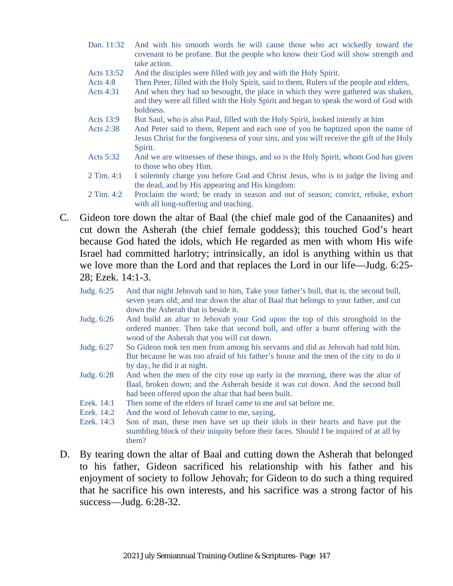- Dan. 11:32 And with his smooth words he will cause those who act wickedly toward the covenant to be profane. But the people who know their God will show strength and take action.
- Acts 13:52 And the disciples were filled with joy and with the Holy Spirit.
- Acts 4:8 Then Peter, filled with the Holy Spirit, said to them, Rulers of the people and elders,
- Acts 4:31 And when they had so besought, the place in which they were gathered was shaken, and they were all filled with the Holy Spirit and began to speak the word of God with boldness.
- Acts 13:9 But Saul, who is also Paul, filled with the Holy Spirit, looked intently at him
- Acts 2:38 And Peter said to them, Repent and each one of you be baptized upon the name of Jesus Christ for the forgiveness of your sins, and you will receive the gift of the Holy Spirit.
- Acts 5:32 And we are witnesses of these things, and so is the Holy Spirit, whom God has given to those who obey Him.
- 2 Tim. 4:1 I solemnly charge you before God and Christ Jesus, who is to judge the living and the dead, and by His appearing and His kingdom:
- 2 Tim. 4:2 Proclaim the word; be ready in season and out of season; convict, rebuke, exhort with all long-suffering and teaching.
- C. Gideon tore down the altar of Baal (the chief male god of the Canaanites) and cut down the Asherah (the chief female goddess); this touched God's heart because God hated the idols, which He regarded as men with whom His wife Israel had committed harlotry; intrinsically, an idol is anything within us that we love more than the Lord and that replaces the Lord in our life—Judg. 6:25- 28; Ezek. 14:1-3.
	- Judg. 6:25 And that night Jehovah said to him, Take your father's bull, that is, the second bull, seven years old; and tear down the altar of Baal that belongs to your father, and cut down the Asherah that is beside it.
	- Judg. 6:26 And build an altar to Jehovah your God upon the top of this stronghold in the ordered manner. Then take that second bull, and offer a burnt offering with the wood of the Asherah that you will cut down.
	- Judg. 6:27 So Gideon took ten men from among his servants and did as Jehovah had told him. But because he was too afraid of his father's house and the men of the city to do it by day, he did it at night.
	- Judg. 6:28 And when the men of the city rose up early in the morning, there was the altar of Baal, broken down; and the Asherah beside it was cut down. And the second bull had been offered upon the altar that had been built.
	- Ezek. 14:1 Then some of the elders of Israel came to me and sat before me.
	- Ezek. 14:2 And the word of Jehovah came to me, saying.
	- Ezek. 14:3 Son of man, these men have set up their idols in their hearts and have put the stumbling block of their iniquity before their faces. Should I be inquired of at all by them?
- D. By tearing down the altar of Baal and cutting down the Asherah that belonged to his father, Gideon sacrificed his relationship with his father and his enjoyment of society to follow Jehovah; for Gideon to do such a thing required that he sacrifice his own interests, and his sacrifice was a strong factor of his success—Judg. 6:28-32.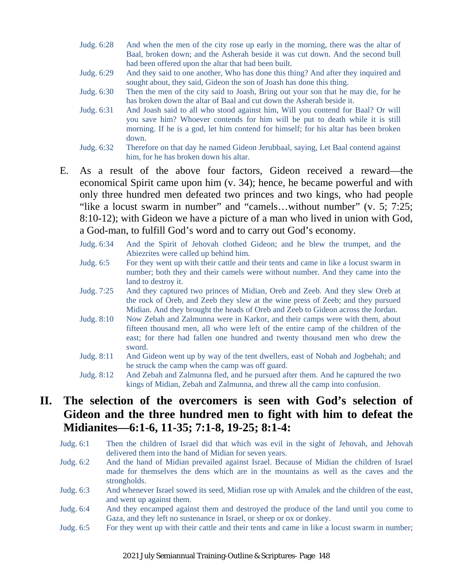- Judg. 6:28 And when the men of the city rose up early in the morning, there was the altar of Baal, broken down; and the Asherah beside it was cut down. And the second bull had been offered upon the altar that had been built.
- Judg. 6:29 And they said to one another, Who has done this thing? And after they inquired and sought about, they said, Gideon the son of Joash has done this thing.
- Judg. 6:30 Then the men of the city said to Joash, Bring out your son that he may die, for he has broken down the altar of Baal and cut down the Asherah beside it.
- Judg. 6:31 And Joash said to all who stood against him, Will you contend for Baal? Or will you save him? Whoever contends for him will be put to death while it is still morning. If he is a god, let him contend for himself; for his altar has been broken down.
- Judg. 6:32 Therefore on that day he named Gideon Jerubbaal, saying, Let Baal contend against him, for he has broken down his altar.
- E. As a result of the above four factors, Gideon received a reward—the economical Spirit came upon him (v. 34); hence, he became powerful and with only three hundred men defeated two princes and two kings, who had people "like a locust swarm in number" and "camels…without number" (v. 5; 7:25; 8:10-12); with Gideon we have a picture of a man who lived in union with God, a God-man, to fulfill God's word and to carry out God's economy.
	- Judg. 6:34 And the Spirit of Jehovah clothed Gideon; and he blew the trumpet, and the Abiezrites were called up behind him.
	- Judg. 6:5 For they went up with their cattle and their tents and came in like a locust swarm in number; both they and their camels were without number. And they came into the land to destroy it.
	- Judg. 7:25 And they captured two princes of Midian, Oreb and Zeeb. And they slew Oreb at the rock of Oreb, and Zeeb they slew at the wine press of Zeeb; and they pursued Midian. And they brought the heads of Oreb and Zeeb to Gideon across the Jordan.
	- Judg. 8:10 Now Zebah and Zalmunna were in Karkor, and their camps were with them, about fifteen thousand men, all who were left of the entire camp of the children of the east; for there had fallen one hundred and twenty thousand men who drew the sword.
	- Judg. 8:11 And Gideon went up by way of the tent dwellers, east of Nobah and Jogbehah; and he struck the camp when the camp was off guard.
	- Judg. 8:12 And Zebah and Zalmunna fled, and he pursued after them. And he captured the two kings of Midian, Zebah and Zalmunna, and threw all the camp into confusion.

### **II. The selection of the overcomers is seen with God's selection of Gideon and the three hundred men to fight with him to defeat the Midianites—6:1-6, 11-35; 7:1-8, 19-25; 8:1-4:**

- Judg. 6:1 Then the children of Israel did that which was evil in the sight of Jehovah, and Jehovah delivered them into the hand of Midian for seven years.
- Judg. 6:2 And the hand of Midian prevailed against Israel. Because of Midian the children of Israel made for themselves the dens which are in the mountains as well as the caves and the strongholds.
- Judg. 6:3 And whenever Israel sowed its seed, Midian rose up with Amalek and the children of the east, and went up against them.
- Judg. 6:4 And they encamped against them and destroyed the produce of the land until you come to Gaza, and they left no sustenance in Israel, or sheep or ox or donkey.
- Judg. 6:5 For they went up with their cattle and their tents and came in like a locust swarm in number;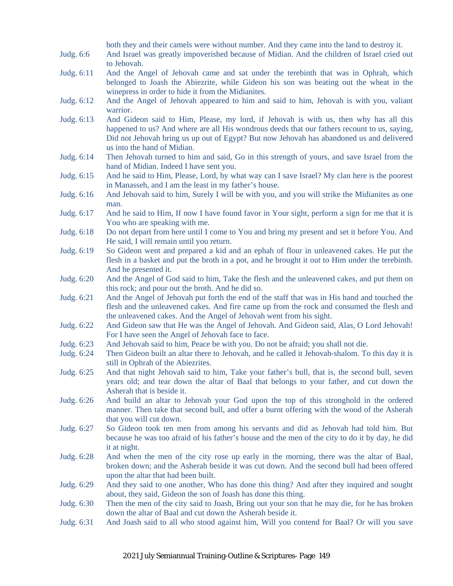both they and their camels were without number. And they came into the land to destroy it.

- Judg. 6:6 And Israel was greatly impoverished because of Midian. And the children of Israel cried out to Jehovah.
- Judg. 6:11 And the Angel of Jehovah came and sat under the terebinth that was in Ophrah, which belonged to Joash the Abiezrite, while Gideon his son was beating out the wheat in the winepress in order to hide it from the Midianites.
- Judg. 6:12 And the Angel of Jehovah appeared to him and said to him, Jehovah is with you, valiant warrior.
- Judg. 6:13 And Gideon said to Him, Please, my lord, if Jehovah is with us, then why has all this happened to us? And where are all His wondrous deeds that our fathers recount to us, saying, Did not Jehovah bring us up out of Egypt? But now Jehovah has abandoned us and delivered us into the hand of Midian.
- Judg. 6:14 Then Jehovah turned to him and said, Go in this strength of yours, and save Israel from the hand of Midian. Indeed I have sent you.
- Judg. 6:15 And he said to Him, Please, Lord, by what way can I save Israel? My clan here is the poorest in Manasseh, and I am the least in my father's house.
- Judg. 6:16 And Jehovah said to him, Surely I will be with you, and you will strike the Midianites as one man.
- Judg. 6:17 And he said to Him, If now I have found favor in Your sight, perform a sign for me that it is You who are speaking with me.
- Judg. 6:18 Do not depart from here until I come to You and bring my present and set it before You. And He said, I will remain until you return.
- Judg. 6:19 So Gideon went and prepared a kid and an ephah of flour in unleavened cakes. He put the flesh in a basket and put the broth in a pot, and he brought it out to Him under the terebinth. And he presented it.
- Judg. 6:20 And the Angel of God said to him, Take the flesh and the unleavened cakes, and put them on this rock; and pour out the broth. And he did so.
- Judg. 6:21 And the Angel of Jehovah put forth the end of the staff that was in His hand and touched the flesh and the unleavened cakes. And fire came up from the rock and consumed the flesh and the unleavened cakes. And the Angel of Jehovah went from his sight.
- Judg. 6:22 And Gideon saw that He was the Angel of Jehovah. And Gideon said, Alas, O Lord Jehovah! For I have seen the Angel of Jehovah face to face.
- Judg. 6:23 And Jehovah said to him, Peace be with you. Do not be afraid; you shall not die.
- Judg. 6:24 Then Gideon built an altar there to Jehovah, and he called it Jehovah-shalom. To this day it is still in Ophrah of the Abiezrites.
- Judg. 6:25 And that night Jehovah said to him, Take your father's bull, that is, the second bull, seven years old; and tear down the altar of Baal that belongs to your father, and cut down the Asherah that is beside it.
- Judg. 6:26 And build an altar to Jehovah your God upon the top of this stronghold in the ordered manner. Then take that second bull, and offer a burnt offering with the wood of the Asherah that you will cut down.
- Judg. 6:27 So Gideon took ten men from among his servants and did as Jehovah had told him. But because he was too afraid of his father's house and the men of the city to do it by day, he did it at night.
- Judg. 6:28 And when the men of the city rose up early in the morning, there was the altar of Baal, broken down; and the Asherah beside it was cut down. And the second bull had been offered upon the altar that had been built.
- Judg. 6:29 And they said to one another, Who has done this thing? And after they inquired and sought about, they said, Gideon the son of Joash has done this thing.
- Judg. 6:30 Then the men of the city said to Joash, Bring out your son that he may die, for he has broken down the altar of Baal and cut down the Asherah beside it.
- Judg. 6:31 And Joash said to all who stood against him, Will you contend for Baal? Or will you save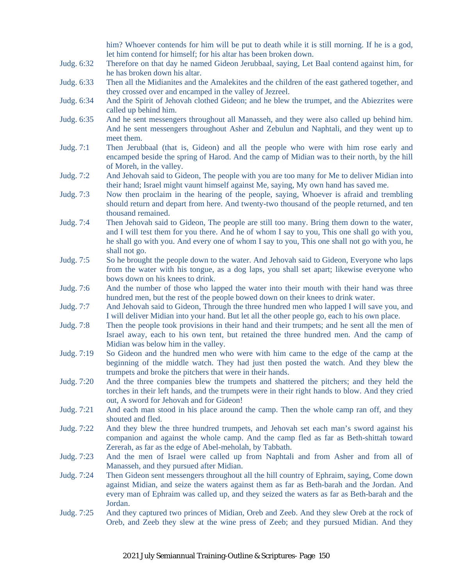him? Whoever contends for him will be put to death while it is still morning. If he is a god, let him contend for himself; for his altar has been broken down.

- Judg. 6:32 Therefore on that day he named Gideon Jerubbaal, saying, Let Baal contend against him, for he has broken down his altar.
- Judg. 6:33 Then all the Midianites and the Amalekites and the children of the east gathered together, and they crossed over and encamped in the valley of Jezreel.
- Judg. 6:34 And the Spirit of Jehovah clothed Gideon; and he blew the trumpet, and the Abiezrites were called up behind him.
- Judg. 6:35 And he sent messengers throughout all Manasseh, and they were also called up behind him. And he sent messengers throughout Asher and Zebulun and Naphtali, and they went up to meet them.
- Judg. 7:1 Then Jerubbaal (that is, Gideon) and all the people who were with him rose early and encamped beside the spring of Harod. And the camp of Midian was to their north, by the hill of Moreh, in the valley.
- Judg. 7:2 And Jehovah said to Gideon, The people with you are too many for Me to deliver Midian into their hand; Israel might vaunt himself against Me, saying, My own hand has saved me.
- Judg. 7:3 Now then proclaim in the hearing of the people, saying, Whoever is afraid and trembling should return and depart from here. And twenty-two thousand of the people returned, and ten thousand remained.
- Judg. 7:4 Then Jehovah said to Gideon, The people are still too many. Bring them down to the water, and I will test them for you there. And he of whom I say to you, This one shall go with you, he shall go with you. And every one of whom I say to you, This one shall not go with you, he shall not go.
- Judg. 7:5 So he brought the people down to the water. And Jehovah said to Gideon, Everyone who laps from the water with his tongue, as a dog laps, you shall set apart; likewise everyone who bows down on his knees to drink.
- Judg. 7:6 And the number of those who lapped the water into their mouth with their hand was three hundred men, but the rest of the people bowed down on their knees to drink water.
- Judg. 7:7 And Jehovah said to Gideon, Through the three hundred men who lapped I will save you, and I will deliver Midian into your hand. But let all the other people go, each to his own place.
- Judg. 7:8 Then the people took provisions in their hand and their trumpets; and he sent all the men of Israel away, each to his own tent, but retained the three hundred men. And the camp of Midian was below him in the valley.
- Judg. 7:19 So Gideon and the hundred men who were with him came to the edge of the camp at the beginning of the middle watch. They had just then posted the watch. And they blew the trumpets and broke the pitchers that were in their hands.
- Judg. 7:20 And the three companies blew the trumpets and shattered the pitchers; and they held the torches in their left hands, and the trumpets were in their right hands to blow. And they cried out, A sword for Jehovah and for Gideon!
- Judg. 7:21 And each man stood in his place around the camp. Then the whole camp ran off, and they shouted and fled.
- Judg. 7:22 And they blew the three hundred trumpets, and Jehovah set each man's sword against his companion and against the whole camp. And the camp fled as far as Beth-shittah toward Zererah, as far as the edge of Abel-meholah, by Tabbath.
- Judg. 7:23 And the men of Israel were called up from Naphtali and from Asher and from all of Manasseh, and they pursued after Midian.
- Judg. 7:24 Then Gideon sent messengers throughout all the hill country of Ephraim, saying, Come down against Midian, and seize the waters against them as far as Beth-barah and the Jordan. And every man of Ephraim was called up, and they seized the waters as far as Beth-barah and the Jordan.
- Judg. 7:25 And they captured two princes of Midian, Oreb and Zeeb. And they slew Oreb at the rock of Oreb, and Zeeb they slew at the wine press of Zeeb; and they pursued Midian. And they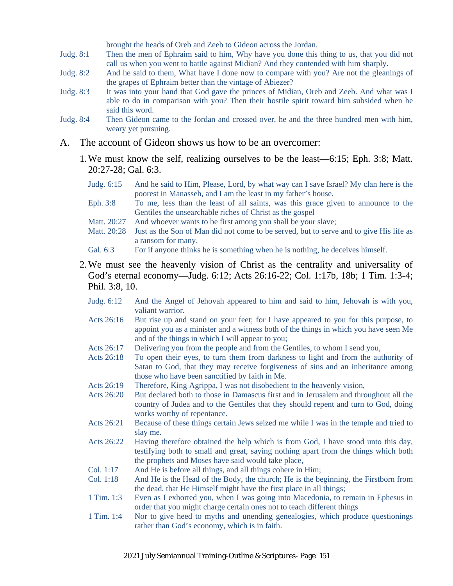brought the heads of Oreb and Zeeb to Gideon across the Jordan.

- Judg. 8:1 Then the men of Ephraim said to him, Why have you done this thing to us, that you did not call us when you went to battle against Midian? And they contended with him sharply.
- Judg. 8:2 And he said to them, What have I done now to compare with you? Are not the gleanings of the grapes of Ephraim better than the vintage of Abiezer?
- Judg. 8:3 It was into your hand that God gave the princes of Midian, Oreb and Zeeb. And what was I able to do in comparison with you? Then their hostile spirit toward him subsided when he said this word.
- Judg. 8:4 Then Gideon came to the Jordan and crossed over, he and the three hundred men with him, weary yet pursuing.
- A. The account of Gideon shows us how to be an overcomer:
	- 1.We must know the self, realizing ourselves to be the least—6:15; Eph. 3:8; Matt. 20:27-28; Gal. 6:3.
		- Judg. 6:15 And he said to Him, Please, Lord, by what way can I save Israel? My clan here is the poorest in Manasseh, and I am the least in my father's house.
		- Eph. 3:8 To me, less than the least of all saints, was this grace given to announce to the Gentiles the unsearchable riches of Christ as the gospel
		- Matt. 20:27 And whoever wants to be first among you shall be your slave;
		- Matt. 20:28 Just as the Son of Man did not come to be served, but to serve and to give His life as a ransom for many.
		- Gal. 6:3 For if anyone thinks he is something when he is nothing, he deceives himself.
	- 2.We must see the heavenly vision of Christ as the centrality and universality of God's eternal economy—Judg. 6:12; Acts 26:16-22; Col. 1:17b, 18b; 1 Tim. 1:3-4; Phil. 3:8, 10.
		- Judg. 6:12 And the Angel of Jehovah appeared to him and said to him, Jehovah is with you, valiant warrior.
		- Acts 26:16 But rise up and stand on your feet; for I have appeared to you for this purpose, to appoint you as a minister and a witness both of the things in which you have seen Me and of the things in which I will appear to you;
		- Acts 26:17 Delivering you from the people and from the Gentiles, to whom I send you,
		- Acts 26:18 To open their eyes, to turn them from darkness to light and from the authority of Satan to God, that they may receive forgiveness of sins and an inheritance among those who have been sanctified by faith in Me.
		- Acts 26:19 Therefore, King Agrippa, I was not disobedient to the heavenly vision,
		- Acts 26:20 But declared both to those in Damascus first and in Jerusalem and throughout all the country of Judea and to the Gentiles that they should repent and turn to God, doing works worthy of repentance.
		- Acts 26:21 Because of these things certain Jews seized me while I was in the temple and tried to slay me.
		- Acts 26:22 Having therefore obtained the help which is from God, I have stood unto this day, testifying both to small and great, saying nothing apart from the things which both the prophets and Moses have said would take place,
		- Col. 1:17 And He is before all things, and all things cohere in Him;
		- Col. 1:18 And He is the Head of the Body, the church; He is the beginning, the Firstborn from the dead, that He Himself might have the first place in all things;
		- 1 Tim. 1:3 Even as I exhorted you, when I was going into Macedonia, to remain in Ephesus in order that you might charge certain ones not to teach different things
		- 1 Tim. 1:4 Nor to give heed to myths and unending genealogies, which produce questionings rather than God's economy, which is in faith.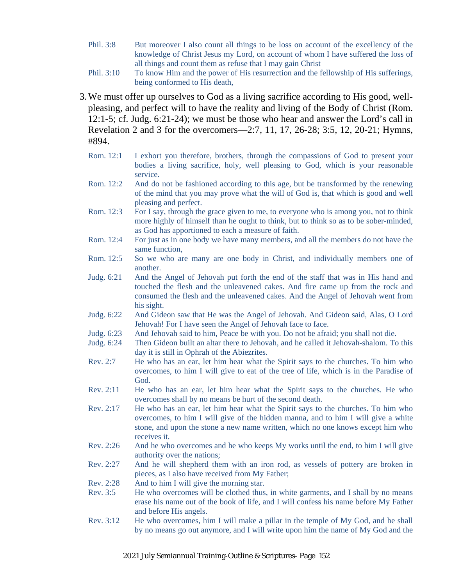- Phil. 3:8 But moreover I also count all things to be loss on account of the excellency of the knowledge of Christ Jesus my Lord, on account of whom I have suffered the loss of all things and count them as refuse that I may gain Christ
- Phil. 3:10 To know Him and the power of His resurrection and the fellowship of His sufferings, being conformed to His death,
- 3.We must offer up ourselves to God as a living sacrifice according to His good, wellpleasing, and perfect will to have the reality and living of the Body of Christ (Rom. 12:1-5; cf. Judg. 6:21-24); we must be those who hear and answer the Lord's call in Revelation 2 and 3 for the overcomers—2:7, 11, 17, 26-28; 3:5, 12, 20-21; Hymns, #894.
	- Rom. 12:1 I exhort you therefore, brothers, through the compassions of God to present your bodies a living sacrifice, holy, well pleasing to God, which is your reasonable service.
	- Rom. 12:2 And do not be fashioned according to this age, but be transformed by the renewing of the mind that you may prove what the will of God is, that which is good and well pleasing and perfect.
	- Rom. 12:3 For I say, through the grace given to me, to everyone who is among you, not to think more highly of himself than he ought to think, but to think so as to be sober-minded, as God has apportioned to each a measure of faith.
	- Rom. 12:4 For just as in one body we have many members, and all the members do not have the same function,
	- Rom. 12:5 So we who are many are one body in Christ, and individually members one of another.
	- Judg. 6:21 And the Angel of Jehovah put forth the end of the staff that was in His hand and touched the flesh and the unleavened cakes. And fire came up from the rock and consumed the flesh and the unleavened cakes. And the Angel of Jehovah went from his sight.
	- Judg. 6:22 And Gideon saw that He was the Angel of Jehovah. And Gideon said, Alas, O Lord Jehovah! For I have seen the Angel of Jehovah face to face.
	- Judg. 6:23 And Jehovah said to him, Peace be with you. Do not be afraid; you shall not die.
	- Judg. 6:24 Then Gideon built an altar there to Jehovah, and he called it Jehovah-shalom. To this day it is still in Ophrah of the Abiezrites.
	- Rev. 2:7 He who has an ear, let him hear what the Spirit says to the churches. To him who overcomes, to him I will give to eat of the tree of life, which is in the Paradise of God.
	- Rev. 2:11 He who has an ear, let him hear what the Spirit says to the churches. He who overcomes shall by no means be hurt of the second death.
	- Rev. 2:17 He who has an ear, let him hear what the Spirit says to the churches. To him who overcomes, to him I will give of the hidden manna, and to him I will give a white stone, and upon the stone a new name written, which no one knows except him who receives it.
	- Rev. 2:26 And he who overcomes and he who keeps My works until the end, to him I will give authority over the nations;
	- Rev. 2:27 And he will shepherd them with an iron rod, as vessels of pottery are broken in pieces, as I also have received from My Father;
	- Rev. 2:28 And to him I will give the morning star.
	- Rev. 3:5 He who overcomes will be clothed thus, in white garments, and I shall by no means erase his name out of the book of life, and I will confess his name before My Father and before His angels.
	- Rev. 3:12 He who overcomes, him I will make a pillar in the temple of My God, and he shall by no means go out anymore, and I will write upon him the name of My God and the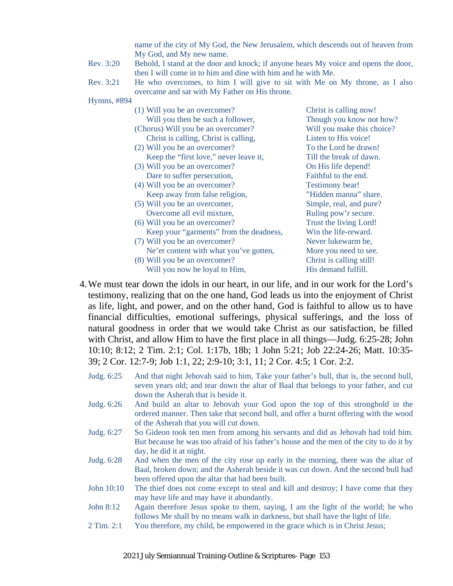name of the city of My God, the New Jerusalem, which descends out of heaven from My God, and My new name.

- Rev. 3:20 Behold, I stand at the door and knock; if anyone hears My voice and opens the door, then I will come in to him and dine with him and he with Me.
- Rev. 3:21 He who overcomes, to him I will give to sit with Me on My throne, as I also overcame and sat with My Father on His throne.

Hymns, #894

| (1) Will you be an overcomer?           | Christ is calling now!     |
|-----------------------------------------|----------------------------|
| Will you then be such a follower,       | Though you know not how?   |
| (Chorus) Will you be an overcomer?      | Will you make this choice? |
| Christ is calling, Christ is calling,   | Listen to His voice!       |
| (2) Will you be an overcomer?           | To the Lord be drawn!      |
| Keep the "first love," never leave it,  | Till the break of dawn.    |
| (3) Will you be an overcomer?           | On His life depend!        |
| Dare to suffer persecution,             | Faithful to the end.       |
| (4) Will you be an overcomer?           | Testimony bear!            |
| Keep away from false religion,          | "Hidden manna" share.      |
| (5) Will you be an overcomer,           | Simple, real, and pure?    |
| Overcome all evil mixture,              | Ruling pow'r secure.       |
| (6) Will you be an overcomer?           | Trust the living Lord!     |
| Keep your "garments" from the deadness, | Win the life-reward.       |
| (7) Will you be an overcomer?           | Never lukewarm be,         |
| Ne'er content with what you've gotten,  | More you need to see.      |
| (8) Will you be an overcomer?           | Christ is calling still!   |
| Will you now be loyal to Him,           | His demand fulfill.        |
|                                         |                            |

- 4.We must tear down the idols in our heart, in our life, and in our work for the Lord's testimony, realizing that on the one hand, God leads us into the enjoyment of Christ as life, light, and power, and on the other hand, God is faithful to allow us to have financial difficulties, emotional sufferings, physical sufferings, and the loss of natural goodness in order that we would take Christ as our satisfaction, be filled with Christ, and allow Him to have the first place in all things—Judg. 6:25-28; John 10:10; 8:12; 2 Tim. 2:1; Col. 1:17b, 18b; 1 John 5:21; Job 22:24-26; Matt. 10:35- 39; 2 Cor. 12:7-9; Job 1:1, 22; 2:9-10; 3:1, 11; 2 Cor. 4:5; 1 Cor. 2:2.
	- Judg. 6:25 And that night Jehovah said to him, Take your father's bull, that is, the second bull, seven years old; and tear down the altar of Baal that belongs to your father, and cut down the Asherah that is beside it.
	- Judg. 6:26 And build an altar to Jehovah your God upon the top of this stronghold in the ordered manner. Then take that second bull, and offer a burnt offering with the wood of the Asherah that you will cut down.
	- Judg. 6:27 So Gideon took ten men from among his servants and did as Jehovah had told him. But because he was too afraid of his father's house and the men of the city to do it by day, he did it at night.
	- Judg. 6:28 And when the men of the city rose up early in the morning, there was the altar of Baal, broken down; and the Asherah beside it was cut down. And the second bull had been offered upon the altar that had been built.
	- John 10:10 The thief does not come except to steal and kill and destroy; I have come that they may have life and may have it abundantly.
	- John 8:12 Again therefore Jesus spoke to them, saying, I am the light of the world; he who follows Me shall by no means walk in darkness, but shall have the light of life.
	- 2 Tim. 2:1 You therefore, my child, be empowered in the grace which is in Christ Jesus;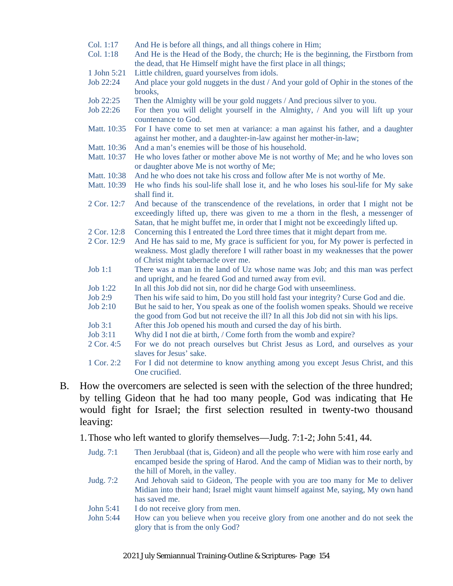- Col. 1:17 And He is before all things, and all things cohere in Him;
- Col. 1:18 And He is the Head of the Body, the church; He is the beginning, the Firstborn from the dead, that He Himself might have the first place in all things;
- 1 John 5:21 Little children, guard yourselves from idols.
- Job 22:24 And place your gold nuggets in the dust / And your gold of Ophir in the stones of the brooks,
- Job 22:25 Then the Almighty will be your gold nuggets / And precious silver to you.
- Job 22:26 For then you will delight yourself in the Almighty, / And you will lift up your countenance to God.
- Matt. 10:35 For I have come to set men at variance: a man against his father, and a daughter against her mother, and a daughter-in-law against her mother-in-law;
- Matt. 10:36 And a man's enemies will be those of his household.
- Matt. 10:37 He who loves father or mother above Me is not worthy of Me; and he who loves son or daughter above Me is not worthy of Me;
- Matt. 10:38 And he who does not take his cross and follow after Me is not worthy of Me.
- Matt. 10:39 He who finds his soul-life shall lose it, and he who loses his soul-life for My sake shall find it.
- 2 Cor. 12:7 And because of the transcendence of the revelations, in order that I might not be exceedingly lifted up, there was given to me a thorn in the flesh, a messenger of Satan, that he might buffet me, in order that I might not be exceedingly lifted up.
- 2 Cor. 12:8 Concerning this I entreated the Lord three times that it might depart from me.
- 2 Cor. 12:9 And He has said to me, My grace is sufficient for you, for My power is perfected in weakness. Most gladly therefore I will rather boast in my weaknesses that the power of Christ might tabernacle over me.
- Job 1:1 There was a man in the land of Uz whose name was Job; and this man was perfect and upright, and he feared God and turned away from evil.
- Job 1:22 In all this Job did not sin, nor did he charge God with unseemliness.
- Job 2:9 Then his wife said to him, Do you still hold fast your integrity? Curse God and die.
- Job 2:10 But he said to her, You speak as one of the foolish women speaks. Should we receive the good from God but not receive the ill? In all this Job did not sin with his lips.
- Job 3:1 After this Job opened his mouth and cursed the day of his birth.
- Job 3:11 Why did I not die at birth, / Come forth from the womb and expire?
- 2 Cor. 4:5 For we do not preach ourselves but Christ Jesus as Lord, and ourselves as your slaves for Jesus' sake.
- 1 Cor. 2:2 For I did not determine to know anything among you except Jesus Christ, and this One crucified.
- B. How the overcomers are selected is seen with the selection of the three hundred; by telling Gideon that he had too many people, God was indicating that He would fight for Israel; the first selection resulted in twenty-two thousand leaving:

1.Those who left wanted to glorify themselves—Judg. 7:1-2; John 5:41, 44.

- Judg. 7:1 Then Jerubbaal (that is, Gideon) and all the people who were with him rose early and encamped beside the spring of Harod. And the camp of Midian was to their north, by the hill of Moreh, in the valley.
- Judg. 7:2 And Jehovah said to Gideon, The people with you are too many for Me to deliver Midian into their hand; Israel might vaunt himself against Me, saying, My own hand has saved me.
- John 5:41 I do not receive glory from men.
- John 5:44 How can you believe when you receive glory from one another and do not seek the glory that is from the only God?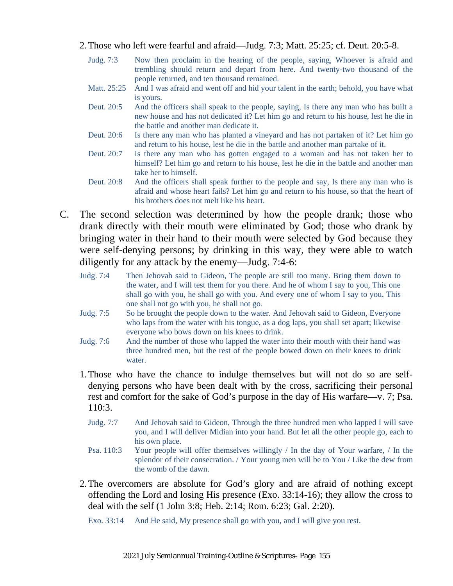- 2.Those who left were fearful and afraid—Judg. 7:3; Matt. 25:25; cf. Deut. 20:5-8.
	- Judg. 7:3 Now then proclaim in the hearing of the people, saying, Whoever is afraid and trembling should return and depart from here. And twenty-two thousand of the people returned, and ten thousand remained.
	- Matt. 25:25 And I was afraid and went off and hid your talent in the earth; behold, you have what is yours.
	- Deut. 20:5 And the officers shall speak to the people, saying, Is there any man who has built a new house and has not dedicated it? Let him go and return to his house, lest he die in the battle and another man dedicate it.
	- Deut. 20:6 Is there any man who has planted a vineyard and has not partaken of it? Let him go and return to his house, lest he die in the battle and another man partake of it.
	- Deut. 20:7 Is there any man who has gotten engaged to a woman and has not taken her to himself? Let him go and return to his house, lest he die in the battle and another man take her to himself.
	- Deut. 20:8 And the officers shall speak further to the people and say, Is there any man who is afraid and whose heart fails? Let him go and return to his house, so that the heart of his brothers does not melt like his heart.
- C. The second selection was determined by how the people drank; those who drank directly with their mouth were eliminated by God; those who drank by bringing water in their hand to their mouth were selected by God because they were self-denying persons; by drinking in this way, they were able to watch diligently for any attack by the enemy—Judg. 7:4-6:
	- Judg. 7:4 Then Jehovah said to Gideon, The people are still too many. Bring them down to the water, and I will test them for you there. And he of whom I say to you, This one shall go with you, he shall go with you. And every one of whom I say to you, This one shall not go with you, he shall not go.
	- Judg. 7:5 So he brought the people down to the water. And Jehovah said to Gideon, Everyone who laps from the water with his tongue, as a dog laps, you shall set apart; likewise everyone who bows down on his knees to drink.
	- Judg. 7:6 And the number of those who lapped the water into their mouth with their hand was three hundred men, but the rest of the people bowed down on their knees to drink water.
	- 1.Those who have the chance to indulge themselves but will not do so are selfdenying persons who have been dealt with by the cross, sacrificing their personal rest and comfort for the sake of God's purpose in the day of His warfare—v. 7; Psa. 110:3.
		- Judg. 7:7 And Jehovah said to Gideon, Through the three hundred men who lapped I will save you, and I will deliver Midian into your hand. But let all the other people go, each to his own place.
		- Psa. 110:3 Your people will offer themselves willingly / In the day of Your warfare, / In the splendor of their consecration. / Your young men will be to You / Like the dew from the womb of the dawn.
	- 2.The overcomers are absolute for God's glory and are afraid of nothing except offending the Lord and losing His presence (Exo. 33:14-16); they allow the cross to deal with the self (1 John 3:8; Heb. 2:14; Rom. 6:23; Gal. 2:20).

Exo. 33:14 And He said, My presence shall go with you, and I will give you rest.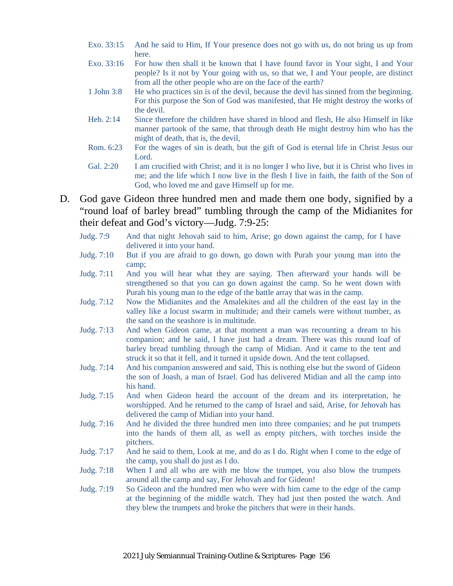- Exo. 33:15 And he said to Him, If Your presence does not go with us, do not bring us up from here.
- Exo. 33:16 For how then shall it be known that I have found favor in Your sight, I and Your people? Is it not by Your going with us, so that we, I and Your people, are distinct from all the other people who are on the face of the earth?
- 1 John 3:8 He who practices sin is of the devil, because the devil has sinned from the beginning. For this purpose the Son of God was manifested, that He might destroy the works of the devil.
- Heb. 2:14 Since therefore the children have shared in blood and flesh, He also Himself in like manner partook of the same, that through death He might destroy him who has the might of death, that is, the devil,
- Rom. 6:23 For the wages of sin is death, but the gift of God is eternal life in Christ Jesus our Lord.
- Gal. 2:20 I am crucified with Christ; and it is no longer I who live, but it is Christ who lives in me; and the life which I now live in the flesh I live in faith, the faith of the Son of God, who loved me and gave Himself up for me.
- D. God gave Gideon three hundred men and made them one body, signified by a "round loaf of barley bread" tumbling through the camp of the Midianites for their defeat and God's victory—Judg. 7:9-25:
	- Judg. 7:9 And that night Jehovah said to him, Arise; go down against the camp, for I have delivered it into your hand.
	- Judg. 7:10 But if you are afraid to go down, go down with Purah your young man into the camp;
	- Judg. 7:11 And you will hear what they are saying. Then afterward your hands will be strengthened so that you can go down against the camp. So he went down with Purah his young man to the edge of the battle array that was in the camp.
	- Judg. 7:12 Now the Midianites and the Amalekites and all the children of the east lay in the valley like a locust swarm in multitude; and their camels were without number, as the sand on the seashore is in multitude.
	- Judg. 7:13 And when Gideon came, at that moment a man was recounting a dream to his companion; and he said, I have just had a dream. There was this round loaf of barley bread tumbling through the camp of Midian. And it came to the tent and struck it so that it fell, and it turned it upside down. And the tent collapsed.
	- Judg. 7:14 And his companion answered and said, This is nothing else but the sword of Gideon the son of Joash, a man of Israel. God has delivered Midian and all the camp into his hand.
	- Judg. 7:15 And when Gideon heard the account of the dream and its interpretation, he worshipped. And he returned to the camp of Israel and said, Arise, for Jehovah has delivered the camp of Midian into your hand.
	- Judg. 7:16 And he divided the three hundred men into three companies; and he put trumpets into the hands of them all, as well as empty pitchers, with torches inside the pitchers.
	- Judg. 7:17 And he said to them, Look at me, and do as I do. Right when I come to the edge of the camp, you shall do just as I do.
	- Judg. 7:18 When I and all who are with me blow the trumpet, you also blow the trumpets around all the camp and say, For Jehovah and for Gideon!
	- Judg. 7:19 So Gideon and the hundred men who were with him came to the edge of the camp at the beginning of the middle watch. They had just then posted the watch. And they blew the trumpets and broke the pitchers that were in their hands.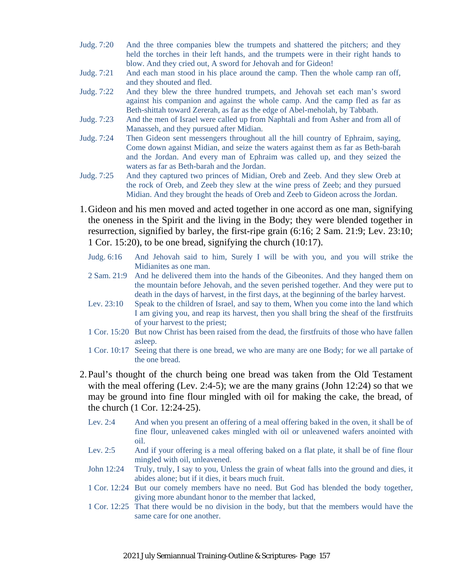- Judg. 7:20 And the three companies blew the trumpets and shattered the pitchers; and they held the torches in their left hands, and the trumpets were in their right hands to blow. And they cried out, A sword for Jehovah and for Gideon!
- Judg. 7:21 And each man stood in his place around the camp. Then the whole camp ran off, and they shouted and fled.
- Judg. 7:22 And they blew the three hundred trumpets, and Jehovah set each man's sword against his companion and against the whole camp. And the camp fled as far as Beth-shittah toward Zererah, as far as the edge of Abel-meholah, by Tabbath.
- Judg. 7:23 And the men of Israel were called up from Naphtali and from Asher and from all of Manasseh, and they pursued after Midian.
- Judg. 7:24 Then Gideon sent messengers throughout all the hill country of Ephraim, saying, Come down against Midian, and seize the waters against them as far as Beth-barah and the Jordan. And every man of Ephraim was called up, and they seized the waters as far as Beth-barah and the Jordan.
- Judg. 7:25 And they captured two princes of Midian, Oreb and Zeeb. And they slew Oreb at the rock of Oreb, and Zeeb they slew at the wine press of Zeeb; and they pursued Midian. And they brought the heads of Oreb and Zeeb to Gideon across the Jordan.
- 1.Gideon and his men moved and acted together in one accord as one man, signifying the oneness in the Spirit and the living in the Body; they were blended together in resurrection, signified by barley, the first-ripe grain (6:16; 2 Sam. 21:9; Lev. 23:10; 1 Cor. 15:20), to be one bread, signifying the church (10:17).
	- Judg. 6:16 And Jehovah said to him, Surely I will be with you, and you will strike the Midianites as one man.
	- 2 Sam. 21:9 And he delivered them into the hands of the Gibeonites. And they hanged them on the mountain before Jehovah, and the seven perished together. And they were put to death in the days of harvest, in the first days, at the beginning of the barley harvest.
	- Lev. 23:10 Speak to the children of Israel, and say to them, When you come into the land which I am giving you, and reap its harvest, then you shall bring the sheaf of the firstfruits of your harvest to the priest;
	- 1 Cor. 15:20 But now Christ has been raised from the dead, the firstfruits of those who have fallen asleep.
	- 1 Cor. 10:17 Seeing that there is one bread, we who are many are one Body; for we all partake of the one bread.
- 2.Paul's thought of the church being one bread was taken from the Old Testament with the meal offering (Lev. 2:4-5); we are the many grains (John  $12:24$ ) so that we may be ground into fine flour mingled with oil for making the cake, the bread, of the church (1 Cor. 12:24-25).
	- Lev. 2:4 And when you present an offering of a meal offering baked in the oven, it shall be of fine flour, unleavened cakes mingled with oil or unleavened wafers anointed with oil.
	- Lev. 2:5 And if your offering is a meal offering baked on a flat plate, it shall be of fine flour mingled with oil, unleavened.
	- John 12:24 Truly, truly, I say to you, Unless the grain of wheat falls into the ground and dies, it abides alone; but if it dies, it bears much fruit.
	- 1 Cor. 12:24 But our comely members have no need. But God has blended the body together, giving more abundant honor to the member that lacked,
	- 1 Cor. 12:25 That there would be no division in the body, but that the members would have the same care for one another.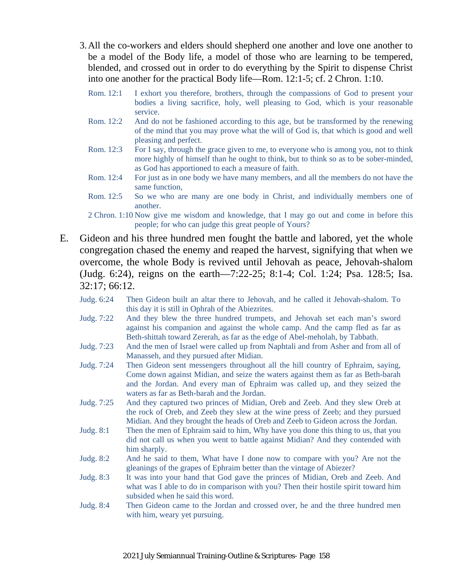- 3.All the co-workers and elders should shepherd one another and love one another to be a model of the Body life, a model of those who are learning to be tempered, blended, and crossed out in order to do everything by the Spirit to dispense Christ into one another for the practical Body life—Rom. 12:1-5; cf. 2 Chron. 1:10.
	- Rom. 12:1 I exhort you therefore, brothers, through the compassions of God to present your bodies a living sacrifice, holy, well pleasing to God, which is your reasonable service.
	- Rom. 12:2 And do not be fashioned according to this age, but be transformed by the renewing of the mind that you may prove what the will of God is, that which is good and well pleasing and perfect.
	- Rom. 12:3 For I say, through the grace given to me, to everyone who is among you, not to think more highly of himself than he ought to think, but to think so as to be sober-minded, as God has apportioned to each a measure of faith.
	- Rom. 12:4 For just as in one body we have many members, and all the members do not have the same function,
	- Rom. 12:5 So we who are many are one body in Christ, and individually members one of another.

2 Chron. 1:10 Now give me wisdom and knowledge, that I may go out and come in before this people; for who can judge this great people of Yours?

- E. Gideon and his three hundred men fought the battle and labored, yet the whole congregation chased the enemy and reaped the harvest, signifying that when we overcome, the whole Body is revived until Jehovah as peace, Jehovah-shalom (Judg. 6:24), reigns on the earth—7:22-25; 8:1-4; Col. 1:24; Psa. 128:5; Isa. 32:17; 66:12.
	- Judg. 6:24 Then Gideon built an altar there to Jehovah, and he called it Jehovah-shalom. To this day it is still in Ophrah of the Abiezrites.
	- Judg. 7:22 And they blew the three hundred trumpets, and Jehovah set each man's sword against his companion and against the whole camp. And the camp fled as far as Beth-shittah toward Zererah, as far as the edge of Abel-meholah, by Tabbath.
	- Judg. 7:23 And the men of Israel were called up from Naphtali and from Asher and from all of Manasseh, and they pursued after Midian.
	- Judg. 7:24 Then Gideon sent messengers throughout all the hill country of Ephraim, saying, Come down against Midian, and seize the waters against them as far as Beth-barah and the Jordan. And every man of Ephraim was called up, and they seized the waters as far as Beth-barah and the Jordan.
	- Judg. 7:25 And they captured two princes of Midian, Oreb and Zeeb. And they slew Oreb at the rock of Oreb, and Zeeb they slew at the wine press of Zeeb; and they pursued Midian. And they brought the heads of Oreb and Zeeb to Gideon across the Jordan.
	- Judg. 8:1 Then the men of Ephraim said to him, Why have you done this thing to us, that you did not call us when you went to battle against Midian? And they contended with him sharply.
	- Judg. 8:2 And he said to them, What have I done now to compare with you? Are not the gleanings of the grapes of Ephraim better than the vintage of Abiezer?
	- Judg. 8:3 It was into your hand that God gave the princes of Midian, Oreb and Zeeb. And what was I able to do in comparison with you? Then their hostile spirit toward him subsided when he said this word.
	- Judg. 8:4 Then Gideon came to the Jordan and crossed over, he and the three hundred men with him, weary yet pursuing.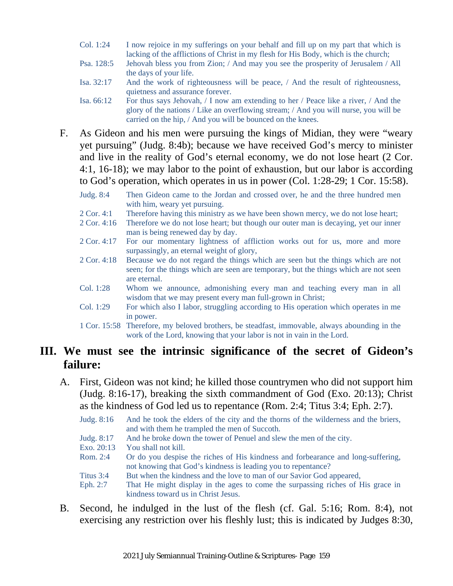- Col. 1:24 I now rejoice in my sufferings on your behalf and fill up on my part that which is lacking of the afflictions of Christ in my flesh for His Body, which is the church;
- Psa. 128:5 Jehovah bless you from Zion; / And may you see the prosperity of Jerusalem / All the days of your life.
- Isa. 32:17 And the work of righteousness will be peace, / And the result of righteousness, quietness and assurance forever.
- Isa. 66:12 For thus says Jehovah, / I now am extending to her / Peace like a river, / And the glory of the nations / Like an overflowing stream; / And you will nurse, you will be carried on the hip, / And you will be bounced on the knees.
- F. As Gideon and his men were pursuing the kings of Midian, they were "weary yet pursuing" (Judg. 8:4b); because we have received God's mercy to minister and live in the reality of God's eternal economy, we do not lose heart (2 Cor. 4:1, 16-18); we may labor to the point of exhaustion, but our labor is according to God's operation, which operates in us in power (Col. 1:28-29; 1 Cor. 15:58).
	- Judg. 8:4 Then Gideon came to the Jordan and crossed over, he and the three hundred men with him, weary yet pursuing.
	- 2 Cor. 4:1 Therefore having this ministry as we have been shown mercy, we do not lose heart;
	- 2 Cor. 4:16 Therefore we do not lose heart; but though our outer man is decaying, yet our inner man is being renewed day by day.
	- 2 Cor. 4:17 For our momentary lightness of affliction works out for us, more and more surpassingly, an eternal weight of glory,
	- 2 Cor. 4:18 Because we do not regard the things which are seen but the things which are not seen; for the things which are seen are temporary, but the things which are not seen are eternal.
	- Col. 1:28 Whom we announce, admonishing every man and teaching every man in all wisdom that we may present every man full-grown in Christ;
	- Col. 1:29 For which also I labor, struggling according to His operation which operates in me in power.
	- 1 Cor. 15:58 Therefore, my beloved brothers, be steadfast, immovable, always abounding in the work of the Lord, knowing that your labor is not in vain in the Lord.

#### **III. We must see the intrinsic significance of the secret of Gideon's failure:**

- A. First, Gideon was not kind; he killed those countrymen who did not support him (Judg. 8:16-17), breaking the sixth commandment of God (Exo. 20:13); Christ as the kindness of God led us to repentance (Rom. 2:4; Titus 3:4; Eph. 2:7).
	- Judg. 8:16 And he took the elders of the city and the thorns of the wilderness and the briers, and with them he trampled the men of Succoth.
	- Judg. 8:17 And he broke down the tower of Penuel and slew the men of the city.
	- Exo. 20:13 You shall not kill.
	- Rom. 2:4 Or do you despise the riches of His kindness and forbearance and long-suffering, not knowing that God's kindness is leading you to repentance?
	- Titus 3:4 But when the kindness and the love to man of our Savior God appeared,
	- Eph. 2:7 That He might display in the ages to come the surpassing riches of His grace in kindness toward us in Christ Jesus.
- B. Second, he indulged in the lust of the flesh (cf. Gal. 5:16; Rom. 8:4), not exercising any restriction over his fleshly lust; this is indicated by Judges 8:30,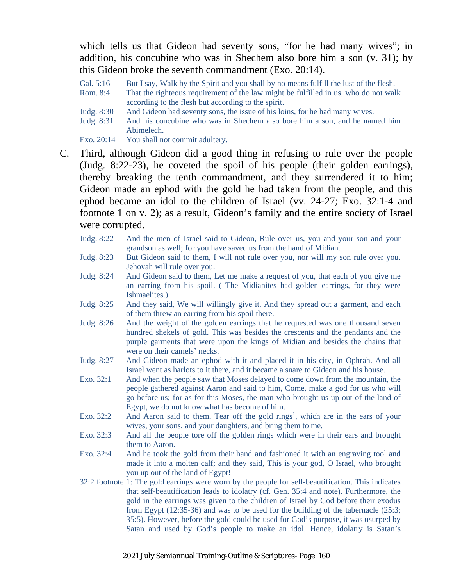which tells us that Gideon had seventy sons, "for he had many wives"; in addition, his concubine who was in Shechem also bore him a son (v. 31); by this Gideon broke the seventh commandment (Exo. 20:14).

- Gal. 5:16 But I say, Walk by the Spirit and you shall by no means fulfill the lust of the flesh.
- Rom. 8:4 That the righteous requirement of the law might be fulfilled in us, who do not walk according to the flesh but according to the spirit.
- Judg. 8:30 And Gideon had seventy sons, the issue of his loins, for he had many wives.
- Judg. 8:31 And his concubine who was in Shechem also bore him a son, and he named him Abimelech.
- Exo. 20:14 You shall not commit adultery.
- C. Third, although Gideon did a good thing in refusing to rule over the people (Judg. 8:22-23), he coveted the spoil of his people (their golden earrings), thereby breaking the tenth commandment, and they surrendered it to him; Gideon made an ephod with the gold he had taken from the people, and this ephod became an idol to the children of Israel (vv. 24-27; Exo. 32:1-4 and footnote 1 on v. 2); as a result, Gideon's family and the entire society of Israel were corrupted.
	- Judg. 8:22 And the men of Israel said to Gideon, Rule over us, you and your son and your grandson as well; for you have saved us from the hand of Midian.
	- Judg. 8:23 But Gideon said to them, I will not rule over you, nor will my son rule over you. Jehovah will rule over you.
	- Judg. 8:24 And Gideon said to them, Let me make a request of you, that each of you give me an earring from his spoil. ( The Midianites had golden earrings, for they were Ishmaelites.)
	- Judg. 8:25 And they said, We will willingly give it. And they spread out a garment, and each of them threw an earring from his spoil there.
	- Judg. 8:26 And the weight of the golden earrings that he requested was one thousand seven hundred shekels of gold. This was besides the crescents and the pendants and the purple garments that were upon the kings of Midian and besides the chains that were on their camels' necks.
	- Judg. 8:27 And Gideon made an ephod with it and placed it in his city, in Ophrah. And all Israel went as harlots to it there, and it became a snare to Gideon and his house.
	- Exo. 32:1 And when the people saw that Moses delayed to come down from the mountain, the people gathered against Aaron and said to him, Come, make a god for us who will go before us; for as for this Moses, the man who brought us up out of the land of Egypt, we do not know what has become of him.
	- Exo. 32:2 And Aaron said to them, Tear off the gold rings<sup>1</sup>, which are in the ears of your wives, your sons, and your daughters, and bring them to me.
	- Exo. 32:3 And all the people tore off the golden rings which were in their ears and brought them to Aaron.
	- Exo. 32:4 And he took the gold from their hand and fashioned it with an engraving tool and made it into a molten calf; and they said, This is your god, O Israel, who brought you up out of the land of Egypt!
	- 32:2 footnote 1: The gold earrings were worn by the people for self-beautification. This indicates that self-beautification leads to idolatry (cf. Gen. 35:4 and note). Furthermore, the gold in the earrings was given to the children of Israel by God before their exodus from Egypt (12:35-36) and was to be used for the building of the tabernacle (25:3; 35:5). However, before the gold could be used for God's purpose, it was usurped by Satan and used by God's people to make an idol. Hence, idolatry is Satan's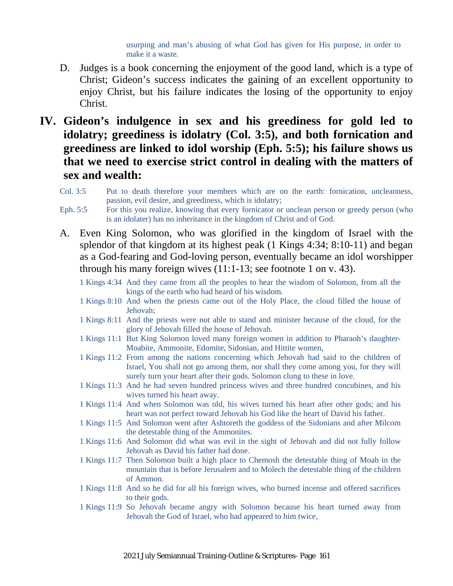usurping and man's abusing of what God has given for His purpose, in order to make it a waste.

- D. Judges is a book concerning the enjoyment of the good land, which is a type of Christ; Gideon's success indicates the gaining of an excellent opportunity to enjoy Christ, but his failure indicates the losing of the opportunity to enjoy Christ.
- **IV. Gideon's indulgence in sex and his greediness for gold led to idolatry; greediness is idolatry (Col. 3:5), and both fornication and greediness are linked to idol worship (Eph. 5:5); his failure shows us that we need to exercise strict control in dealing with the matters of sex and wealth:**
	- Col. 3:5 Put to death therefore your members which are on the earth: fornication, uncleanness, passion, evil desire, and greediness, which is idolatry;
	- Eph. 5:5 For this you realize, knowing that every fornicator or unclean person or greedy person (who is an idolater) has no inheritance in the kingdom of Christ and of God.
	- A. Even King Solomon, who was glorified in the kingdom of Israel with the splendor of that kingdom at its highest peak (1 Kings 4:34; 8:10-11) and began as a God-fearing and God-loving person, eventually became an idol worshipper through his many foreign wives (11:1-13; see footnote 1 on v. 43).
		- 1 Kings 4:34 And they came from all the peoples to hear the wisdom of Solomon, from all the kings of the earth who had heard of his wisdom.
		- 1 Kings 8:10 And when the priests came out of the Holy Place, the cloud filled the house of Jehovah;
		- 1 Kings 8:11 And the priests were not able to stand and minister because of the cloud, for the glory of Jehovah filled the house of Jehovah.
		- 1 Kings 11:1 But King Solomon loved many foreign women in addition to Pharaoh's daughter-Moabite, Ammonite, Edomite, Sidonian, and Hittite women,
		- 1 Kings 11:2 From among the nations concerning which Jehovah had said to the children of Israel, You shall not go among them, nor shall they come among you, for they will surely turn your heart after their gods. Solomon clung to these in love.
		- 1 Kings 11:3 And he had seven hundred princess wives and three hundred concubines, and his wives turned his heart away.
		- 1 Kings 11:4 And when Solomon was old, his wives turned his heart after other gods; and his heart was not perfect toward Jehovah his God like the heart of David his father.
		- 1 Kings 11:5 And Solomon went after Ashtoreth the goddess of the Sidonians and after Milcom the detestable thing of the Ammonites.
		- 1 Kings 11:6 And Solomon did what was evil in the sight of Jehovah and did not fully follow Jehovah as David his father had done.
		- 1 Kings 11:7 Then Solomon built a high place to Chemosh the detestable thing of Moab in the mountain that is before Jerusalem and to Molech the detestable thing of the children of Ammon.
		- 1 Kings 11:8 And so he did for all his foreign wives, who burned incense and offered sacrifices to their gods.
		- 1 Kings 11:9 So Jehovah became angry with Solomon because his heart turned away from Jehovah the God of Israel, who had appeared to him twice,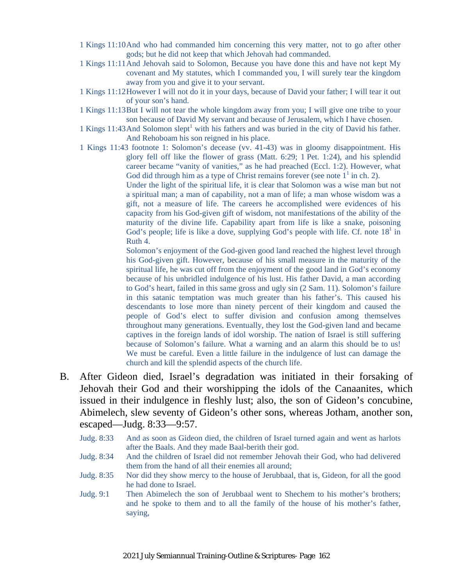- 1 Kings 11:10And who had commanded him concerning this very matter, not to go after other gods; but he did not keep that which Jehovah had commanded.
- 1 Kings 11:11And Jehovah said to Solomon, Because you have done this and have not kept My covenant and My statutes, which I commanded you, I will surely tear the kingdom away from you and give it to your servant.
- 1 Kings 11:12However I will not do it in your days, because of David your father; I will tear it out of your son's hand.
- 1 Kings 11:13But I will not tear the whole kingdom away from you; I will give one tribe to your son because of David My servant and because of Jerusalem, which I have chosen.
- 1 Kings 11:43 And Solomon slept<sup>1</sup> with his fathers and was buried in the city of David his father. And Rehoboam his son reigned in his place.
- 1 Kings 11:43 footnote 1: Solomon's decease (vv. 41-43) was in gloomy disappointment. His glory fell off like the flower of grass (Matt. 6:29; 1 Pet. 1:24), and his splendid career became "vanity of vanities," as he had preached (Eccl. 1:2). However, what God did through him as a type of Christ remains forever (see note  $1<sup>1</sup>$  in ch. 2).

Under the light of the spiritual life, it is clear that Solomon was a wise man but not a spiritual man; a man of capability, not a man of life; a man whose wisdom was a gift, not a measure of life. The careers he accomplished were evidences of his capacity from his God-given gift of wisdom, not manifestations of the ability of the maturity of the divine life. Capability apart from life is like a snake, poisoning God's people; life is like a dove, supplying God's people with life. Cf. note  $18<sup>1</sup>$  in Ruth 4.

Solomon's enjoyment of the God-given good land reached the highest level through his God-given gift. However, because of his small measure in the maturity of the spiritual life, he was cut off from the enjoyment of the good land in God's economy because of his unbridled indulgence of his lust. His father David, a man according to God's heart, failed in this same gross and ugly sin (2 Sam. 11). Solomon's failure in this satanic temptation was much greater than his father's. This caused his descendants to lose more than ninety percent of their kingdom and caused the people of God's elect to suffer division and confusion among themselves throughout many generations. Eventually, they lost the God-given land and became captives in the foreign lands of idol worship. The nation of Israel is still suffering because of Solomon's failure. What a warning and an alarm this should be to us! We must be careful. Even a little failure in the indulgence of lust can damage the church and kill the splendid aspects of the church life.

- B. After Gideon died, Israel's degradation was initiated in their forsaking of Jehovah their God and their worshipping the idols of the Canaanites, which issued in their indulgence in fleshly lust; also, the son of Gideon's concubine, Abimelech, slew seventy of Gideon's other sons, whereas Jotham, another son, escaped—Judg. 8:33—9:57.
	- Judg. 8:33 And as soon as Gideon died, the children of Israel turned again and went as harlots after the Baals. And they made Baal-berith their god.
	- Judg. 8:34 And the children of Israel did not remember Jehovah their God, who had delivered them from the hand of all their enemies all around;
	- Judg. 8:35 Nor did they show mercy to the house of Jerubbaal, that is, Gideon, for all the good he had done to Israel.
	- Judg. 9:1 Then Abimelech the son of Jerubbaal went to Shechem to his mother's brothers; and he spoke to them and to all the family of the house of his mother's father, saying,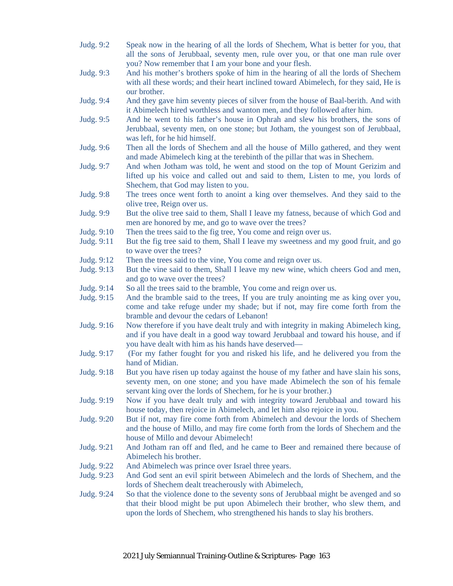Judg. 9:2 Speak now in the hearing of all the lords of Shechem, What is better for you, that all the sons of Jerubbaal, seventy men, rule over you, or that one man rule over you? Now remember that I am your bone and your flesh. Judg. 9:3 And his mother's brothers spoke of him in the hearing of all the lords of Shechem with all these words; and their heart inclined toward Abimelech, for they said, He is our brother. Judg. 9:4 And they gave him seventy pieces of silver from the house of Baal-berith. And with it Abimelech hired worthless and wanton men, and they followed after him. Judg. 9:5 And he went to his father's house in Ophrah and slew his brothers, the sons of Jerubbaal, seventy men, on one stone; but Jotham, the youngest son of Jerubbaal, was left, for he hid himself. Judg. 9:6 Then all the lords of Shechem and all the house of Millo gathered, and they went and made Abimelech king at the terebinth of the pillar that was in Shechem. Judg. 9:7 And when Jotham was told, he went and stood on the top of Mount Gerizim and lifted up his voice and called out and said to them, Listen to me, you lords of Shechem, that God may listen to you. Judg. 9:8 The trees once went forth to anoint a king over themselves. And they said to the olive tree, Reign over us. Judg. 9:9 But the olive tree said to them, Shall I leave my fatness, because of which God and men are honored by me, and go to wave over the trees? Judg. 9:10 Then the trees said to the fig tree, You come and reign over us. Judg. 9:11 But the fig tree said to them, Shall I leave my sweetness and my good fruit, and go to wave over the trees? Judg. 9:12 Then the trees said to the vine, You come and reign over us. Judg. 9:13 But the vine said to them, Shall I leave my new wine, which cheers God and men, and go to wave over the trees? Judg. 9:14 So all the trees said to the bramble, You come and reign over us. Judg. 9:15 And the bramble said to the trees, If you are truly anointing me as king over you, come and take refuge under my shade; but if not, may fire come forth from the bramble and devour the cedars of Lebanon! Judg. 9:16 Now therefore if you have dealt truly and with integrity in making Abimelech king, and if you have dealt in a good way toward Jerubbaal and toward his house, and if you have dealt with him as his hands have deserved— Judg. 9:17 (For my father fought for you and risked his life, and he delivered you from the hand of Midian. Judg. 9:18 But you have risen up today against the house of my father and have slain his sons, seventy men, on one stone; and you have made Abimelech the son of his female servant king over the lords of Shechem, for he is your brother.) Judg. 9:19 Now if you have dealt truly and with integrity toward Jerubbaal and toward his house today, then rejoice in Abimelech, and let him also rejoice in you. Judg. 9:20 But if not, may fire come forth from Abimelech and devour the lords of Shechem and the house of Millo, and may fire come forth from the lords of Shechem and the house of Millo and devour Abimelech! Judg. 9:21 And Jotham ran off and fled, and he came to Beer and remained there because of Abimelech his brother. Judg. 9:22 And Abimelech was prince over Israel three years. Judg. 9:23 And God sent an evil spirit between Abimelech and the lords of Shechem, and the lords of Shechem dealt treacherously with Abimelech, Judg. 9:24 So that the violence done to the seventy sons of Jerubbaal might be avenged and so that their blood might be put upon Abimelech their brother, who slew them, and upon the lords of Shechem, who strengthened his hands to slay his brothers.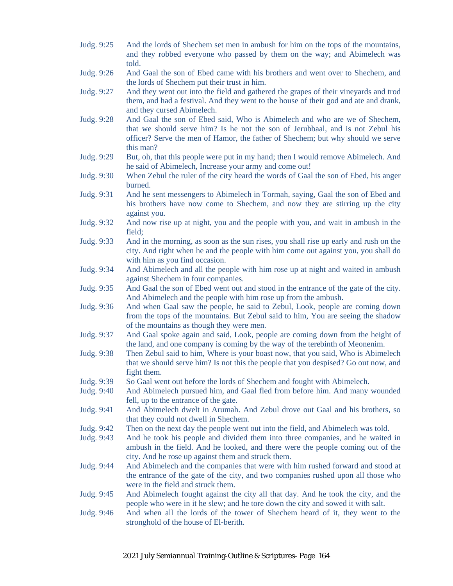- Judg. 9:25 And the lords of Shechem set men in ambush for him on the tops of the mountains, and they robbed everyone who passed by them on the way; and Abimelech was told.
- Judg. 9:26 And Gaal the son of Ebed came with his brothers and went over to Shechem, and the lords of Shechem put their trust in him.
- Judg. 9:27 And they went out into the field and gathered the grapes of their vineyards and trod them, and had a festival. And they went to the house of their god and ate and drank, and they cursed Abimelech.
- Judg. 9:28 And Gaal the son of Ebed said, Who is Abimelech and who are we of Shechem, that we should serve him? Is he not the son of Jerubbaal, and is not Zebul his officer? Serve the men of Hamor, the father of Shechem; but why should we serve this man?
- Judg. 9:29 But, oh, that this people were put in my hand; then I would remove Abimelech. And he said of Abimelech, Increase your army and come out!
- Judg. 9:30 When Zebul the ruler of the city heard the words of Gaal the son of Ebed, his anger burned.
- Judg. 9:31 And he sent messengers to Abimelech in Tormah, saying, Gaal the son of Ebed and his brothers have now come to Shechem, and now they are stirring up the city against you.
- Judg. 9:32 And now rise up at night, you and the people with you, and wait in ambush in the field;
- Judg. 9:33 And in the morning, as soon as the sun rises, you shall rise up early and rush on the city. And right when he and the people with him come out against you, you shall do with him as you find occasion.
- Judg. 9:34 And Abimelech and all the people with him rose up at night and waited in ambush against Shechem in four companies.
- Judg. 9:35 And Gaal the son of Ebed went out and stood in the entrance of the gate of the city. And Abimelech and the people with him rose up from the ambush.
- Judg. 9:36 And when Gaal saw the people, he said to Zebul, Look, people are coming down from the tops of the mountains. But Zebul said to him, You are seeing the shadow of the mountains as though they were men.
- Judg. 9:37 And Gaal spoke again and said, Look, people are coming down from the height of the land, and one company is coming by the way of the terebinth of Meonenim.
- Judg. 9:38 Then Zebul said to him, Where is your boast now, that you said, Who is Abimelech that we should serve him? Is not this the people that you despised? Go out now, and fight them.
- Judg. 9:39 So Gaal went out before the lords of Shechem and fought with Abimelech.
- Judg. 9:40 And Abimelech pursued him, and Gaal fled from before him. And many wounded fell, up to the entrance of the gate.
- Judg. 9:41 And Abimelech dwelt in Arumah. And Zebul drove out Gaal and his brothers, so that they could not dwell in Shechem.
- Judg. 9:42 Then on the next day the people went out into the field, and Abimelech was told.
- Judg. 9:43 And he took his people and divided them into three companies, and he waited in ambush in the field. And he looked, and there were the people coming out of the city. And he rose up against them and struck them.
- Judg. 9:44 And Abimelech and the companies that were with him rushed forward and stood at the entrance of the gate of the city, and two companies rushed upon all those who were in the field and struck them.
- Judg. 9:45 And Abimelech fought against the city all that day. And he took the city, and the people who were in it he slew; and he tore down the city and sowed it with salt.
- Judg. 9:46 And when all the lords of the tower of Shechem heard of it, they went to the stronghold of the house of El-berith.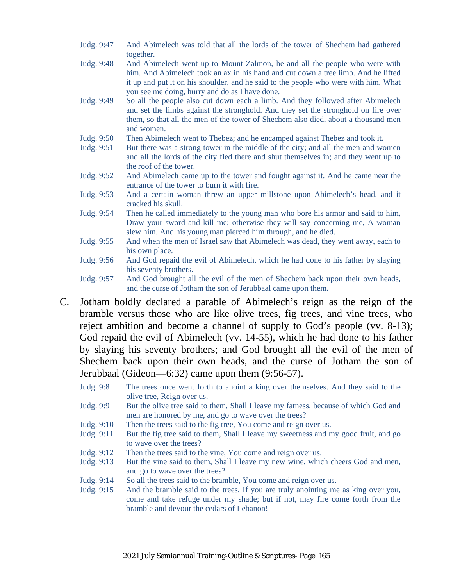- Judg. 9:47 And Abimelech was told that all the lords of the tower of Shechem had gathered together.
- Judg. 9:48 And Abimelech went up to Mount Zalmon, he and all the people who were with him. And Abimelech took an ax in his hand and cut down a tree limb. And he lifted it up and put it on his shoulder, and he said to the people who were with him, What you see me doing, hurry and do as I have done.
- Judg. 9:49 So all the people also cut down each a limb. And they followed after Abimelech and set the limbs against the stronghold. And they set the stronghold on fire over them, so that all the men of the tower of Shechem also died, about a thousand men and women.
- Judg. 9:50 Then Abimelech went to Thebez; and he encamped against Thebez and took it.
- Judg. 9:51 But there was a strong tower in the middle of the city; and all the men and women and all the lords of the city fled there and shut themselves in; and they went up to the roof of the tower.
- Judg. 9:52 And Abimelech came up to the tower and fought against it. And he came near the entrance of the tower to burn it with fire.
- Judg. 9:53 And a certain woman threw an upper millstone upon Abimelech's head, and it cracked his skull.
- Judg. 9:54 Then he called immediately to the young man who bore his armor and said to him, Draw your sword and kill me; otherwise they will say concerning me, A woman slew him. And his young man pierced him through, and he died.
- Judg. 9:55 And when the men of Israel saw that Abimelech was dead, they went away, each to his own place.
- Judg. 9:56 And God repaid the evil of Abimelech, which he had done to his father by slaying his seventy brothers.
- Judg. 9:57 And God brought all the evil of the men of Shechem back upon their own heads, and the curse of Jotham the son of Jerubbaal came upon them.
- C. Jotham boldly declared a parable of Abimelech's reign as the reign of the bramble versus those who are like olive trees, fig trees, and vine trees, who reject ambition and become a channel of supply to God's people (vv. 8-13); God repaid the evil of Abimelech (vv. 14-55), which he had done to his father by slaying his seventy brothers; and God brought all the evil of the men of Shechem back upon their own heads, and the curse of Jotham the son of Jerubbaal (Gideon—6:32) came upon them (9:56-57).
	- Judg. 9:8 The trees once went forth to anoint a king over themselves. And they said to the olive tree, Reign over us.
	- Judg. 9:9 But the olive tree said to them, Shall I leave my fatness, because of which God and men are honored by me, and go to wave over the trees?
	- Judg. 9:10 Then the trees said to the fig tree, You come and reign over us.
	- Judg. 9:11 But the fig tree said to them, Shall I leave my sweetness and my good fruit, and go to wave over the trees?
	- Judg. 9:12 Then the trees said to the vine, You come and reign over us.
	- Judg. 9:13 But the vine said to them, Shall I leave my new wine, which cheers God and men, and go to wave over the trees?
	- Judg. 9:14 So all the trees said to the bramble, You come and reign over us.
	- Judg. 9:15 And the bramble said to the trees, If you are truly anointing me as king over you, come and take refuge under my shade; but if not, may fire come forth from the bramble and devour the cedars of Lebanon!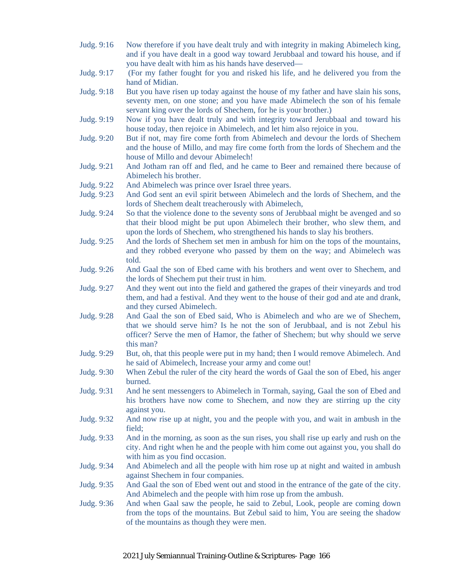- Judg. 9:16 Now therefore if you have dealt truly and with integrity in making Abimelech king, and if you have dealt in a good way toward Jerubbaal and toward his house, and if you have dealt with him as his hands have deserved—
- Judg. 9:17 (For my father fought for you and risked his life, and he delivered you from the hand of Midian.
- Judg. 9:18 But you have risen up today against the house of my father and have slain his sons, seventy men, on one stone; and you have made Abimelech the son of his female servant king over the lords of Shechem, for he is your brother.)
- Judg. 9:19 Now if you have dealt truly and with integrity toward Jerubbaal and toward his house today, then rejoice in Abimelech, and let him also rejoice in you.
- Judg. 9:20 But if not, may fire come forth from Abimelech and devour the lords of Shechem and the house of Millo, and may fire come forth from the lords of Shechem and the house of Millo and devour Abimelech!
- Judg. 9:21 And Jotham ran off and fled, and he came to Beer and remained there because of Abimelech his brother.
- Judg. 9:22 And Abimelech was prince over Israel three years.
- Judg. 9:23 And God sent an evil spirit between Abimelech and the lords of Shechem, and the lords of Shechem dealt treacherously with Abimelech,
- Judg. 9:24 So that the violence done to the seventy sons of Jerubbaal might be avenged and so that their blood might be put upon Abimelech their brother, who slew them, and upon the lords of Shechem, who strengthened his hands to slay his brothers.
- Judg. 9:25 And the lords of Shechem set men in ambush for him on the tops of the mountains, and they robbed everyone who passed by them on the way; and Abimelech was told.
- Judg. 9:26 And Gaal the son of Ebed came with his brothers and went over to Shechem, and the lords of Shechem put their trust in him.
- Judg. 9:27 And they went out into the field and gathered the grapes of their vineyards and trod them, and had a festival. And they went to the house of their god and ate and drank, and they cursed Abimelech.
- Judg. 9:28 And Gaal the son of Ebed said, Who is Abimelech and who are we of Shechem, that we should serve him? Is he not the son of Jerubbaal, and is not Zebul his officer? Serve the men of Hamor, the father of Shechem; but why should we serve this man?
- Judg. 9:29 But, oh, that this people were put in my hand; then I would remove Abimelech. And he said of Abimelech, Increase your army and come out!
- Judg. 9:30 When Zebul the ruler of the city heard the words of Gaal the son of Ebed, his anger burned.
- Judg. 9:31 And he sent messengers to Abimelech in Tormah, saying, Gaal the son of Ebed and his brothers have now come to Shechem, and now they are stirring up the city against you.
- Judg. 9:32 And now rise up at night, you and the people with you, and wait in ambush in the field;
- Judg. 9:33 And in the morning, as soon as the sun rises, you shall rise up early and rush on the city. And right when he and the people with him come out against you, you shall do with him as you find occasion.
- Judg. 9:34 And Abimelech and all the people with him rose up at night and waited in ambush against Shechem in four companies.
- Judg. 9:35 And Gaal the son of Ebed went out and stood in the entrance of the gate of the city. And Abimelech and the people with him rose up from the ambush.
- Judg. 9:36 And when Gaal saw the people, he said to Zebul, Look, people are coming down from the tops of the mountains. But Zebul said to him, You are seeing the shadow of the mountains as though they were men.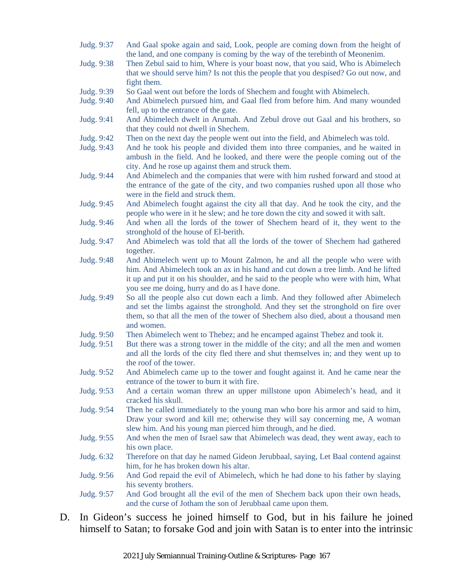- Judg. 9:37 And Gaal spoke again and said, Look, people are coming down from the height of the land, and one company is coming by the way of the terebinth of Meonenim.
- Judg. 9:38 Then Zebul said to him, Where is your boast now, that you said, Who is Abimelech that we should serve him? Is not this the people that you despised? Go out now, and fight them.
- Judg. 9:39 So Gaal went out before the lords of Shechem and fought with Abimelech.
- Judg. 9:40 And Abimelech pursued him, and Gaal fled from before him. And many wounded fell, up to the entrance of the gate.
- Judg. 9:41 And Abimelech dwelt in Arumah. And Zebul drove out Gaal and his brothers, so that they could not dwell in Shechem.
- Judg. 9:42 Then on the next day the people went out into the field, and Abimelech was told.
- Judg. 9:43 And he took his people and divided them into three companies, and he waited in ambush in the field. And he looked, and there were the people coming out of the city. And he rose up against them and struck them.
- Judg. 9:44 And Abimelech and the companies that were with him rushed forward and stood at the entrance of the gate of the city, and two companies rushed upon all those who were in the field and struck them.
- Judg. 9:45 And Abimelech fought against the city all that day. And he took the city, and the people who were in it he slew; and he tore down the city and sowed it with salt.
- Judg. 9:46 And when all the lords of the tower of Shechem heard of it, they went to the stronghold of the house of El-berith.
- Judg. 9:47 And Abimelech was told that all the lords of the tower of Shechem had gathered together.
- Judg. 9:48 And Abimelech went up to Mount Zalmon, he and all the people who were with him. And Abimelech took an ax in his hand and cut down a tree limb. And he lifted it up and put it on his shoulder, and he said to the people who were with him, What you see me doing, hurry and do as I have done.
- Judg. 9:49 So all the people also cut down each a limb. And they followed after Abimelech and set the limbs against the stronghold. And they set the stronghold on fire over them, so that all the men of the tower of Shechem also died, about a thousand men and women.
- Judg. 9:50 Then Abimelech went to Thebez; and he encamped against Thebez and took it.
- Judg. 9:51 But there was a strong tower in the middle of the city; and all the men and women and all the lords of the city fled there and shut themselves in; and they went up to the roof of the tower.
- Judg. 9:52 And Abimelech came up to the tower and fought against it. And he came near the entrance of the tower to burn it with fire.
- Judg. 9:53 And a certain woman threw an upper millstone upon Abimelech's head, and it cracked his skull.
- Judg. 9:54 Then he called immediately to the young man who bore his armor and said to him, Draw your sword and kill me; otherwise they will say concerning me, A woman slew him. And his young man pierced him through, and he died.
- Judg. 9:55 And when the men of Israel saw that Abimelech was dead, they went away, each to his own place.
- Judg. 6:32 Therefore on that day he named Gideon Jerubbaal, saying, Let Baal contend against him, for he has broken down his altar.
- Judg. 9:56 And God repaid the evil of Abimelech, which he had done to his father by slaying his seventy brothers.
- Judg. 9:57 And God brought all the evil of the men of Shechem back upon their own heads, and the curse of Jotham the son of Jerubbaal came upon them.
- D. In Gideon's success he joined himself to God, but in his failure he joined himself to Satan; to forsake God and join with Satan is to enter into the intrinsic